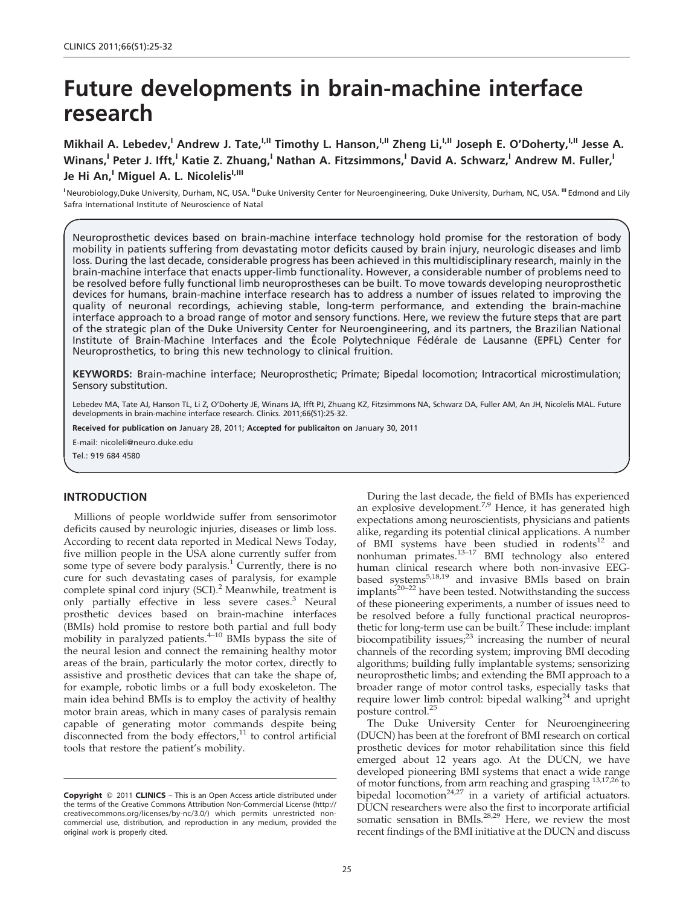# Future developments in brain-machine interface research

Mikhail A. Lebedev,<sup>I</sup> Andrew J. Tate,<sup>I,II</sup> Timothy L. Hanson,<sup>I,II</sup> Zheng Li,<sup>I,II</sup> Joseph E. O'Doherty,<sup>I,II</sup> Jesse A. Winans,<sup>I</sup> Peter J. Ifft,<sup>I</sup> Katie Z. Zhuang,<sup>I</sup> Nathan A. Fitzsimmons,<sup>I</sup> David A. Schwarz,<sup>I</sup> Andrew M. Fuller,<sup>I</sup> Je Hi An,<sup>I</sup> Miguel A. L. Nicolelis<sup>I,III</sup>

<sup>I</sup> Neurobiology,Duke University, Durham, NC, USA. <sup>II</sup> Duke University Center for Neuroengineering, Duke University, Durham, NC, USA. <sup>III</sup> Edmond and Lily Safra International Institute of Neuroscience of Natal

Neuroprosthetic devices based on brain-machine interface technology hold promise for the restoration of body mobility in patients suffering from devastating motor deficits caused by brain injury, neurologic diseases and limb loss. During the last decade, considerable progress has been achieved in this multidisciplinary research, mainly in the brain-machine interface that enacts upper-limb functionality. However, a considerable number of problems need to be resolved before fully functional limb neuroprostheses can be built. To move towards developing neuroprosthetic devices for humans, brain-machine interface research has to address a number of issues related to improving the quality of neuronal recordings, achieving stable, long-term performance, and extending the brain-machine interface approach to a broad range of motor and sensory functions. Here, we review the future steps that are part of the strategic plan of the Duke University Center for Neuroengineering, and its partners, the Brazilian National Institute of Brain-Machine Interfaces and the École Polytechnique Fédérale de Lausanne (EPFL) Center for Neuroprosthetics, to bring this new technology to clinical fruition.

KEYWORDS: Brain-machine interface; Neuroprosthetic; Primate; Bipedal locomotion; Intracortical microstimulation; Sensory substitution.

Lebedev MA, Tate AJ, Hanson TL, Li Z, O'Doherty JE, Winans JA, Ifft PJ, Zhuang KZ, Fitzsimmons NA, Schwarz DA, Fuller AM, An JH, Nicolelis MAL. Future developments in brain-machine interface research. Clinics. 2011;66(S1):25-32.

Received for publication on January 28, 2011; Accepted for publicaiton on January 30, 2011

E-mail: nicoleli@neuro.duke.edu

Tel.: 919 684 4580

#### INTRODUCTION

Millions of people worldwide suffer fro[m](#page-6-0) sensorimotor deficits caused by neurologic injuries, disease[s or limb loss.](#page-6-0) Accordi[ng to recent data reported in Medical News Today,](#page-6-0) five mill[ion people in the USA alone currently suffer from](#page-6-0) some type of severe body paralysis.<sup>1</sup> Currently, there is no cure for [such devastating cases of paralysis, for example](#page-6-0) complet[e spinal cord injury \(SCI\).](#page-6-0)<sup>2</sup> Meanwhile, treatment is only p[artially](#page-6-0) [effective](#page-6-0) [in](#page-6-0) [less](#page-6-0) [severe](#page-6-0) cases.<sup>3</sup> Neural prosthet[ic devices based on brain-machine interfaces](#page-6-0) (BMIs) [hold promise to restore both partial and full body](#page-6-0) mobility in paralyzed patients.<sup>4-10</sup> [BMIs](#page-6-0) [bypass](#page-6-0) [the](#page-6-0) [site](#page-6-0) [of](#page-6-0) the neur[al lesion and connect the remaining healthy motor](#page-6-0) areas of [the brain, particularly the motor cortex, directly to](#page-6-0) assistive [and](#page-6-0) [prosthetic](#page-6-0) [devices](#page-6-0) [that](#page-6-0) [can](#page-6-0) [take](#page-6-0) [the](#page-6-0) [shape](#page-6-0) [of,](#page-6-0) for exa[mple, robotic limbs or a full body exoskeleton. The](#page-6-0) main idea behind BMIs is to employ the activit[y of healthy](#page-6-0) motor b[rain](#page-6-0) [areas,](#page-6-0) [which](#page-6-0) [in](#page-6-0) [many](#page-6-0) [cases](#page-6-0) [of](#page-6-0) [paraly](#page-6-0)sis remain capable of generating motor commands despite being disconnected from the body effectors, $11$  to control artificial tools that restore the patient's mobility.

Durin[g the last decade, the field of BMIs has experienced](#page-6-0) an expl[osive development.](#page-6-0)<sup>7,9</sup> Hence, it has generated high expectations among neuroscientist[s,](#page-6-0) [physicians](#page-6-0) [and](#page-6-0) [patients](#page-6-0) alike, re[garding its potential clinical](#page-6-0) [applications.](#page-6-0) [A](#page-6-0) [number](#page-6-0) of BMI [systems ha](#page-6-0)ve be[en](#page-6-0) [studied](#page-6-0) [in](#page-6-0) [rodents](#page-6-0)<sup>12</sup> and nonhuman primates.<sup>13-17</sup> [BMI](#page-6-0) [technology](#page-6-0) [also](#page-6-0) [entered](#page-6-0) [hum](#page-6-0)an [clinical](#page-6-0) [research](#page-6-0) [where](#page-6-0) [both](#page-6-0) [non-invasive](#page-6-0) [EEG](#page-6-0)based systems<sup>5,18,19</sup> [and invasive BMIs based](#page-6-0) [on](#page-6-0) [brain](#page-6-0)  $implants<sup>20-22</sup>$  [have been tested. No](#page-6-0)twithstand[ing the success](#page-6-0) of these pioneering experiments, [a](#page-6-0) [number](#page-6-0) [of](#page-6-0) [issues](#page-6-0) [need](#page-6-0) [to](#page-6-0) be resol[ved before a fully functional practical neuropros](#page-6-0)thetic fo[r](#page-6-0) [long-term](#page-6-0) [use](#page-6-0) [can](#page-6-0) [be](#page-6-0) [built.](#page-6-0)<sup>7</sup> These include: implant biocompatibility issues;<sup>23</sup> [increasing the number of neural](#page-6-0) channel[s of the recording system; improving BMI decoding](#page-6-0) algorith[ms; building fully](#page-6-0) implantable systems; sensor[izing](#page-6-0) neuroprosthetic limbs; and extending the BMI approach to a broader range of motor control tasks, especially tasks that require lower limb control: bipedal walking<sup>24</sup> and upright posture control.<sup>25</sup>

The Duke University Center for Neuroengineering (DUCN) has been at the forefront of BMI research on cortical prosthet[ic devices for motor re](#page-6-0)habilitation since this field emerged about 12 years ago. [At the DUCN, we have](#page-6-0) develop[ed pioneering BMI systems that](#page-6-0) [enact](#page-6-0) [a](#page-6-0) [wide](#page-6-0) [range](#page-6-0) of motor functions, from arm reaching a[nd grasping](#page-6-0)  $^{13,17,26}$  to bipedal locomotion<sup>24,27</sup> [in](#page-6-0) [a](#page-6-0) [variety](#page-6-0) [of](#page-6-0) [artificial](#page-6-0) [actuators.](#page-6-0) DUCN researchers were also the first to incorporate artificial somatic sensation in BMIs. $28,29$  Here, we review the most recent findings of the BMI initiative at the DUCN and discuss

**Copyright** © 2011 **CLINICS** – This is an Open Access article distributed under the terms of the Creative Commons Attribution Non-Commercial License (http:// creativecommons.org/licenses/by-nc/3.0/) which permits unrestricted noncommercial use, distribution, and reproduction in any medium, provided the original work is properly cited.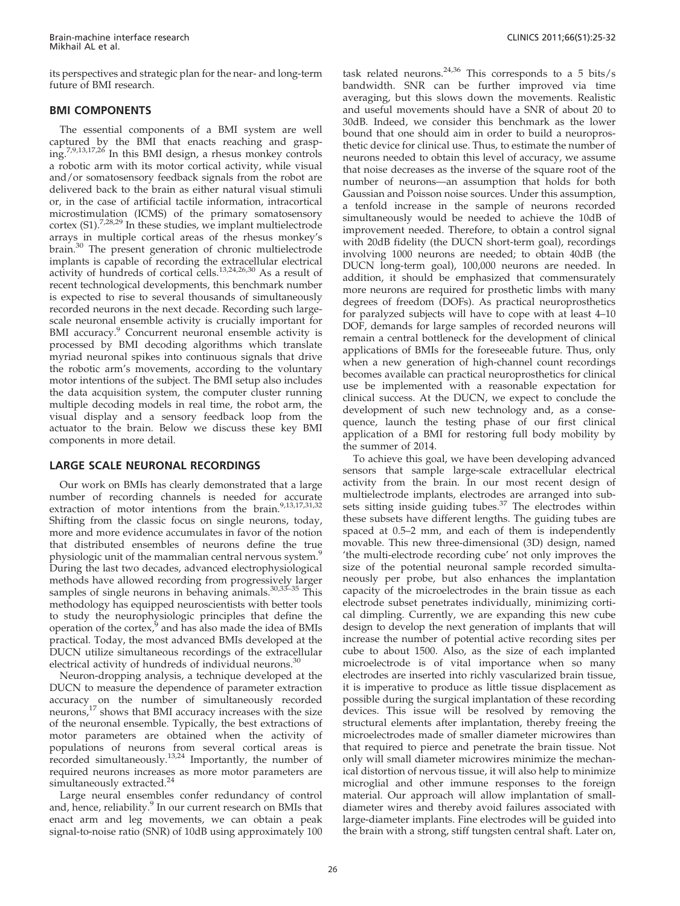its perspectives and strategic plan for the near- and long-term future of BMI research.

## BMI COM[PONENT](#page-6-0)S

The e[ssential](#page-6-0) [components](#page-6-0) [of](#page-6-0) [a](#page-6-0) [BMI](#page-6-0) [system](#page-6-0) [are](#page-6-0) [well](#page-6-0) capture[d by the BMI that enacts reaching and grasp](#page-6-0)ing.7,9,13,17,26 [In](#page-6-0) [this](#page-6-0) [BMI](#page-6-0) [design,](#page-6-0) [a](#page-6-0) [rhesus](#page-6-0) [monkey](#page-6-0) [controls](#page-6-0) a roboti[c](#page-6-0) [arm](#page-6-0) [with](#page-6-0) [its](#page-6-0) [motor](#page-6-0) [cortical](#page-6-0) [activity,](#page-6-0) [while](#page-6-0) [visual](#page-6-0) and/or [somatosensory feedback](#page-6-0) [signals](#page-6-0) [from](#page-6-0) [the](#page-6-0) [robot](#page-6-0) [are](#page-6-0) delivered back to the br[ain](#page-6-0) [as](#page-6-0) [either](#page-6-0) [natural](#page-6-0) [visual](#page-6-0) [stimuli](#page-6-0) or, in th[e case of](#page-6-0) [artificial](#page-6-0) [tactile](#page-6-0) [information,](#page-6-0) [intracortical](#page-6-0) microstimulatio[n](#page-6-0) [\(ICMS\)](#page-6-0) [of](#page-6-0) [the](#page-6-0) [primary](#page-6-0) [somatosensory](#page-6-0) cortex (S1).<sup>7,28,29</sup> [In these studies, we implant multielectrode](#page-6-0) arrays in multiple cortical areas of the rhesus mo[nkey's](#page-6-0) brain.<sup>30</sup> [The present generation of chronic multielectrode](#page-6-0) implant[s](#page-6-0) [is](#page-6-0) [capable](#page-6-0) [of](#page-6-0) [recording](#page-6-0) [the](#page-6-0) [extracellular](#page-6-0) [electrical](#page-6-0) activity [of hundreds of cortical cells.](#page-6-0)<sup>13,24,26,30</sup> As a result of recent te[chnological developments,](#page-6-0) [this](#page-6-0) [benchmark](#page-6-0) [number](#page-6-0) is expected to rise to s[everal thousands of simultaneously](#page-6-0) recorde[d](#page-6-0) [neurons](#page-6-0) [in](#page-6-0) [the](#page-6-0) [next](#page-6-0) [decade.](#page-6-0) [Recording](#page-6-0) [such](#page-6-0) [large](#page-6-0)scale ne[uronal](#page-6-0) [ensemble](#page-6-0) [activity](#page-6-0) [is](#page-6-0) [crucially](#page-6-0) [important](#page-6-0) [for](#page-6-0) BMI accuracy.<sup>9</sup> [Concurrent](#page-6-0) [neuronal](#page-6-0) [ensemble](#page-6-0) [activity](#page-6-0) [is](#page-6-0) processe[d](#page-6-0) [by](#page-6-0) [BMI](#page-6-0) [decoding](#page-6-0) [algorithms](#page-6-0) [which](#page-6-0) [translate](#page-6-0) myriad [neuronal](#page-6-0) [spikes](#page-6-0) [into](#page-6-0) [continuous](#page-6-0) [signals](#page-6-0) [that](#page-6-0) [drive](#page-6-0) the rob[otic](#page-6-0) [arm's](#page-6-0) [movements,](#page-6-0) [according](#page-6-0) [to](#page-6-0) [the](#page-6-0) [voluntary](#page-6-0) motor in[tentions](#page-6-0) [of](#page-6-0) [the](#page-6-0) [subject.](#page-6-0) [The](#page-6-0) [BMI](#page-6-0) [setup](#page-6-0) [also](#page-6-0) [includes](#page-6-0) the data [acquisition](#page-6-0) [system,](#page-6-0) [the](#page-6-0) [computer](#page-6-0) [cluster](#page-6-0) [running](#page-6-0) multiple [decoding models in real ti](#page-6-0)me, the robot arm, the visual display and a sensory feedback loop from the actuator to the brain. Below we discuss these key BMI components in more detail.

# LARGE SCALE NEURONAL RECORDINGS

Our [work](#page-6-0) [on](#page-6-0) [BMIs](#page-6-0) [has](#page-6-0) [clearly](#page-6-0) [demonstrated](#page-6-0) [that](#page-6-0) [a](#page-6-0) [large](#page-6-0) number [of recording channels is needed for accurate](#page-6-0) extractio[n of motor intentions from the brain.](#page-6-0)<sup>9,13,17,31,32</sup> Shifting from the classic focus on single neurons, today, more an[d](#page-6-0) [more](#page-6-0) [evidence](#page-6-0) [accumulates](#page-6-0) [in](#page-6-0) [favor](#page-6-0) [of](#page-6-0) [the](#page-6-0) [notion](#page-6-0) that dis[tributed ensembles of neurons define the true](#page-6-0) physiologic unit of the mammalian central nervous system.<sup>9</sup> During t[he](#page-6-0) [last](#page-6-0) [two](#page-6-0) [decades,](#page-6-0) [advanced](#page-6-0) [electrophysiological](#page-6-0) methods [have allowed recording](#page-6-0) [from](#page-6-0) [progressively](#page-6-0) [larger](#page-6-0) samples of single neurons in be[having](#page-6-0) [animals.](#page-6-0)30,33–35 This method[ology](#page-6-0) [has](#page-6-0) [equipped](#page-6-0) [neuroscientists](#page-6-0) [with](#page-6-0) [better](#page-6-0) [tools](#page-6-0) to stud[y the neurophysiologic principles that define the](#page-6-0) operation of the cortex,<sup>9</sup> and has also made the idea of BMIs practical. Today, the most advanced BMIs developed at the DUCN utilize simultaneous recordings of the extracellular electrical activity [o](#page-6-0)f hundreds of individual neurons.<sup>30</sup>

Neuron-droppin[g](#page-6-0) [analysis,](#page-6-0) [a](#page-6-0) [technique](#page-6-0) [developed](#page-6-0) [at](#page-6-0) [the](#page-6-0) DUCN t[o](#page-6-0) [measure](#page-6-0) [the](#page-6-0) [dependence](#page-6-0) [of](#page-6-0) [parameter](#page-6-0) [extraction](#page-6-0) accurac[y](#page-6-0) [on](#page-6-0) [the](#page-6-0) [number](#page-6-0) [of](#page-6-0) [simultaneously](#page-6-0) [recorded](#page-6-0) neurons,<sup>17</sup> [shows that BMI accuracy increases](#page-6-0) [with](#page-6-0) [the](#page-6-0) [size](#page-6-0) of the neuronal ensemble. Typically, t[he](#page-6-0) [best](#page-6-0) [extractions](#page-6-0) [of](#page-6-0) motor [parameters are obtained](#page-6-0) [when](#page-6-0) [the](#page-6-0) [activity](#page-6-0) [of](#page-6-0) populations of neurons from several cortical areas is recorded simultaneously.<sup>13,24</sup> [I](#page-6-0)mportantly, the number of required neurons increases as [more](#page-6-0) [motor](#page-6-0) [parameters](#page-6-0) [are](#page-6-0) simulta[neously extracted.](#page-6-0)<sup>24</sup>

Large [neural](#page-6-0) [ensembles](#page-6-0) [confer](#page-6-0) [redundancy](#page-6-0) [of](#page-6-0) [control](#page-6-0) and, hence, reliability.<sup>9</sup> In our current research on BMIs that enact arm and leg movements, we can obtain a peak signal-to-noise ratio (SNR) of 10dB using approximately 100 task related neurons.24,36 [This](#page-6-0) [corresponds](#page-6-0) [to](#page-6-0) [a](#page-6-0) [5](#page-6-0) [bits/s](#page-6-0) bandwi[dth.](#page-6-0) [SNR](#page-6-0) [can](#page-6-0) [be](#page-6-0) [further](#page-6-0) [improved](#page-6-0) [via](#page-6-0) [time](#page-6-0) averagin[g,](#page-6-0) [but](#page-6-0) [this](#page-6-0) [slows](#page-6-0) [down](#page-6-0) [the](#page-6-0) [movements.](#page-6-0) [Realistic](#page-6-0) [and](#page-6-0) use[ful movements should have a SNR of about 20 to](#page-6-0) 30dB. I[ndeed,](#page-6-0) [we](#page-6-0) [consider](#page-6-0) [this](#page-6-0) [benchmark](#page-6-0) [as](#page-6-0) [the](#page-6-0) [lower](#page-6-0) bound t[hat one should aim in order to build a neuropros](#page-6-0)thetic de[vice](#page-6-0) [for](#page-6-0) [clinical](#page-6-0) [use.](#page-6-0) [Thus,](#page-6-0) [to](#page-6-0) [estimate](#page-6-0) [the](#page-6-0) [number](#page-6-0) [of](#page-6-0) neurons [needed to obtain this level of accuracy, we assume](#page-6-0) that noi[se](#page-6-0) [decreases](#page-6-0) [as](#page-6-0) [the](#page-6-0) [inverse](#page-6-0) [of](#page-6-0) [the](#page-6-0) [square](#page-6-0) [root](#page-6-0) [of](#page-6-0) [the](#page-6-0) number [of neurons—an assumption that holds for both](#page-6-0) Gaussia[n](#page-6-0) [and](#page-6-0) [Poisson](#page-6-0) [noise](#page-6-0) [sources.](#page-6-0) [Under](#page-6-0) [this](#page-6-0) [assumption,](#page-6-0) a tenfol[d increase in the sample of neurons recorded](#page-6-0) simulta[neously](#page-6-0) [would](#page-6-0) [be](#page-6-0) [needed](#page-6-0) [to](#page-6-0) [achieve](#page-6-0) [the](#page-6-0) [10dB](#page-6-0) [of](#page-6-0) improve[ment needed. Therefore, to obtain a control signal](#page-6-0) with 20[dB](#page-6-0) [fidelity](#page-6-0) [\(the](#page-6-0) [DUCN](#page-6-0) [short-term](#page-6-0) [goal\),](#page-6-0) [recordings](#page-6-0) involvin[g 1000 neurons are needed; to obtain 40dB \(the](#page-6-0) DUCN [long-term](#page-6-0) [goal\),](#page-6-0) [100,000](#page-6-0) [neurons](#page-6-0) [are](#page-6-0) [needed.](#page-6-0) [In](#page-6-0) addition[,](#page-6-0) [it](#page-6-0) [should](#page-6-0) [be](#page-6-0) [emphasized](#page-6-0) [that](#page-6-0) [commensurately](#page-6-0) more ne[urons](#page-6-0) [are](#page-6-0) [required](#page-6-0) [for](#page-6-0) [prosthetic](#page-6-0) [limbs](#page-6-0) [with](#page-6-0) [many](#page-6-0) degrees [of](#page-6-0) [freedom](#page-6-0) [\(DOFs\).](#page-6-0) [As](#page-6-0) [practical](#page-6-0) [neuroprosthetics](#page-6-0) for para[lyzed subjects will have to cope with at least 4–10](#page-6-0) DOF, de[mands](#page-6-0) [for](#page-6-0) [large](#page-6-0) [samples](#page-6-0) [of](#page-6-0) [recorded](#page-6-0) [neurons](#page-6-0) [will](#page-6-0) remain [a central bottleneck for the development of clinical](#page-6-0) applicati[ons](#page-6-0) [of](#page-6-0) [BMIs](#page-6-0) [for](#page-6-0) [the](#page-6-0) [foreseeable](#page-6-0) [future.](#page-6-0) [Thus,](#page-6-0) [only](#page-6-0) when a [new generation of high-channel count recordings](#page-6-0) becomes [available](#page-6-0) [can](#page-6-0) [practical](#page-6-0) [neuroprosthetics](#page-6-0) [for](#page-6-0) [clinical](#page-6-0) use be [implemented with a reasonable expectation for](#page-6-0) clinical [success.](#page-6-0) [At](#page-6-0) [the](#page-6-0) [DUCN,](#page-6-0) [we](#page-6-0) [expect](#page-6-0) [to](#page-6-0) [conclude](#page-6-0) [the](#page-6-0) develop[ment of such new](#page-6-0) technology and, as a consequence, launch the testing phase of our first clinical application of a BMI for restoring full body mobility by the summer of 2014.

To achieve this goal, we have been dev[elo](#page-6-0)ping advanced [sens](#page-6-0)ors that sample large-scale extracel[lular electrical](#page-6-0) activity [from](#page-6-0) [the](#page-6-0) [brain.](#page-6-0) [In](#page-6-0) [our](#page-6-0) [most](#page-6-0) [recent](#page-6-0) [design](#page-6-0) [of](#page-6-0) multiele[ctrode implants, electrodes are arranged into sub](#page-6-0)sets sitti[ng](#page-6-0) [inside](#page-6-0) [guiding](#page-6-0) [tubes.](#page-6-0)<sup>37</sup> The electrodes within these su[bsets](#page-6-0) [have](#page-6-0) [different](#page-6-0) [lengths.](#page-6-0) [The](#page-6-0) [guiding](#page-6-0) [tubes](#page-6-0) [are](#page-6-0) spaced [at](#page-6-0) [0.5–2](#page-6-0) [mm,](#page-6-0) [and](#page-6-0) [each](#page-6-0) [of](#page-6-0) [them](#page-6-0) [is](#page-6-0) [independently](#page-6-0) movable[.](#page-6-0) [This](#page-6-0) [new](#page-6-0) [three-dimensional](#page-6-0) [\(3D\)](#page-6-0) [design,](#page-6-0) [named](#page-6-0) ['the](#page-6-0) mul[ti-electrode recording cube' not only improves the](#page-6-0) size of [the](#page-6-0) [potential](#page-6-0) [neuronal](#page-6-0) [sample](#page-6-0) [recorded](#page-6-0) [simulta](#page-6-0)neously [per probe, but also enhances the implantation](#page-6-0) capacity [of](#page-6-0) [the](#page-6-0) [microelectrodes](#page-6-0) [in](#page-6-0) [the](#page-6-0) [brain](#page-6-0) [tissue](#page-6-0) [as](#page-6-0) [each](#page-6-0) electrod[e subset penetrates individually, minimizing corti](#page-6-0)cal dim[pling.](#page-6-0) [Currently,](#page-6-0) [we](#page-6-0) [are](#page-6-0) [expanding](#page-6-0) [this](#page-6-0) [new](#page-6-0) [cube](#page-6-0) design t[o develop the next generation of implants that will](#page-6-0) increase [the](#page-6-0) [number](#page-6-0) [of](#page-6-0) [potential](#page-6-0) [active](#page-6-0) [recording](#page-6-0) [sites](#page-6-0) [per](#page-6-0) cube to [about 1500. Also, as the size of each implanted](#page-6-0) microele[ctrode](#page-6-0) [is](#page-6-0) [of](#page-6-0) [vital](#page-6-0) [importance](#page-6-0) [when](#page-6-0) [so](#page-6-0) [many](#page-6-0) electrod[es are inserted into richly vascularized brain tissue,](#page-6-0) it is im[perative](#page-6-0) [to](#page-6-0) [produce](#page-6-0) [as](#page-6-0) [little](#page-6-0) [tissue](#page-6-0) [displacement](#page-6-0) [as](#page-6-0) possible [during the surgical implantation of these recording](#page-6-0) devices. [This](#page-6-0) [issue](#page-6-0) [will](#page-6-0) [be](#page-6-0) [resolved](#page-6-0) [by](#page-6-0) [removing](#page-6-0) [the](#page-6-0) structur[al](#page-6-0) [elements](#page-6-0) [after](#page-6-0) [implantation,](#page-6-0) [thereby](#page-6-0) [freeing](#page-6-0) [the](#page-6-0) microele[ctrodes](#page-6-0) [made](#page-6-0) [of](#page-6-0) [smaller](#page-6-0) [diameter](#page-6-0) [microwires](#page-6-0) [than](#page-6-0) that req[uired](#page-6-0) [to](#page-6-0) [pierce](#page-6-0) [and](#page-6-0) [penetrate](#page-6-0) [the](#page-6-0) [brain](#page-6-0) [tissue.](#page-6-0) [Not](#page-6-0) only wil[l small diameter microwires minimize the mechan](#page-6-0)ical dist[ortion](#page-6-0) [of](#page-6-0) [nervous](#page-6-0) [tissue,](#page-6-0) [it](#page-6-0) [will](#page-6-0) [also](#page-6-0) [help](#page-6-0) [to](#page-6-0) [minimize](#page-6-0) microgli[al and other immune responses to the foreign](#page-6-0) material[.](#page-6-0) [Our](#page-6-0) [approach](#page-6-0) [will](#page-6-0) [allow](#page-6-0) [implantation](#page-6-0) [of](#page-6-0) [small](#page-6-0)diameter wires and thereby avoid failures associated with large-diameter implants. Fine electrodes will be guided into the brain with a strong, stiff tungsten central shaft. Later on,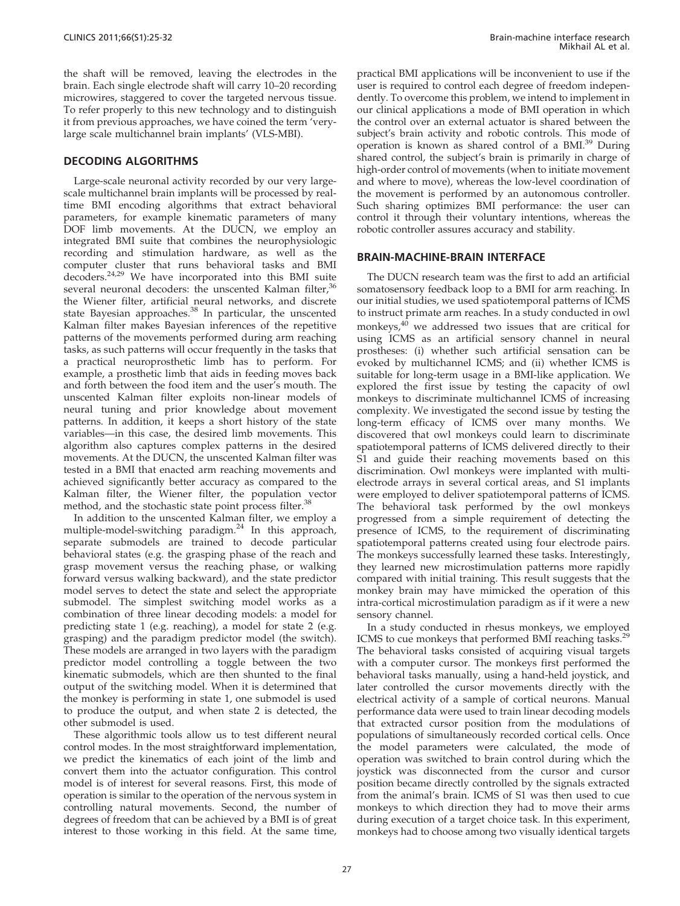the shaf[t](#page-6-0) [will](#page-6-0) [be](#page-6-0) [removed,](#page-6-0) [leaving](#page-6-0) [the](#page-6-0) [electrodes](#page-6-0) [in](#page-6-0) [the](#page-6-0) brain. E[ach single electrode shaft will carry 10–20 recording](#page-6-0) microwi[res,](#page-6-0) [staggered](#page-6-0) [to](#page-6-0) [cover](#page-6-0) [the](#page-6-0) [targeted](#page-6-0) [nervous](#page-6-0) [tissue.](#page-6-0) To refer properly to this new technology and to distinguish it from previous approaches, we have coined the term 'verylarge scale multichannel brain implants' (VLS-MBI).

## DECODING ALGORITHMS

Large-scale neuronal activity recorded by our very largescale multichannel brain implants will be processed by realtime BMI encoding algorithms that extract behavioral parameters, for example kinematic parameters of many DOF limb move[men](#page-6-0)ts. At the DUCN, we employ an integrat[ed BMI suite that combines the neurophysiologic](#page-6-0) recording and stimulation hardware, as well as the comput[er cluster that runs behavioral tasks and BMI](#page-6-0) decoders.24,29 We have incorporate[d](#page-6-0) [into](#page-6-0) [this](#page-6-0) [BMI](#page-6-0) [suite](#page-6-0) several [neuronal](#page-6-0) [decoders:](#page-6-0) [the](#page-6-0) [unscented](#page-6-0) [Kalman](#page-6-0) [filter,](#page-6-0)<sup>36</sup> the Wie[ner](#page-6-0) [filter,](#page-6-0) [artificial](#page-6-0) [neural](#page-6-0) [networks,](#page-6-0) [and](#page-6-0) [discrete](#page-6-0) state Bayesian approaches.<sup>38</sup> [In](#page-6-0) [particular,](#page-6-0) [the](#page-6-0) [unscented](#page-6-0) Kalman [filter makes Bayesian inferences of the repetitive](#page-6-0) patterns [of](#page-6-0) [the](#page-6-0) [movements](#page-6-0) [performed](#page-6-0) [during](#page-6-0) [arm](#page-6-0) [reaching](#page-6-0) tasks, as [such patterns will occur frequently in the tasks that](#page-6-0) a pract[ical](#page-6-0) [neuroprosthetic](#page-6-0) [limb](#page-6-0) [has](#page-6-0) [to](#page-6-0) [perform.](#page-6-0) [For](#page-6-0) example[, a prosthetic limb that aids in feeding moves back](#page-6-0) and fort[h](#page-6-0) [between](#page-6-0) [the](#page-6-0) [food](#page-6-0) [item](#page-6-0) [and](#page-6-0) [the](#page-6-0) [user's](#page-6-0) [mouth.](#page-6-0) [The](#page-6-0) unscent[ed Kalman filter exploits non-linear models of](#page-6-0) neural [tuning](#page-6-0) [and](#page-6-0) [prior](#page-6-0) [knowledge](#page-6-0) [about](#page-6-0) [movement](#page-6-0) patterns[. In addition, it keeps a short history of the state](#page-6-0) variable[s—in](#page-6-0) [this](#page-6-0) [case,](#page-6-0) [the](#page-6-0) [desired](#page-6-0) [limb](#page-6-0) [movements.](#page-6-0) [This](#page-6-0) algorith[m also captures complex patterns in the desired](#page-6-0) movem[ents. At the DUCN, the unscented Kalman filter was](#page-6-0) tested in a BMI that enacted arm reaching movements and achieved significantly better accuracy as co[mp](#page-6-0)ared to the Kalman filter, the Wiener filter, the popul[ation](#page-6-0) [vector](#page-6-0) method, [and the stochastic state point process filter.](#page-6-0)<sup>38</sup>

In ad[dition](#page-6-0) [to](#page-6-0) [the](#page-6-0) [unscented](#page-6-0) [Kalman](#page-6-0) [filter,](#page-6-0) [we](#page-6-0) [employ](#page-6-0) [a](#page-6-0) multiple[-model-switching](#page-6-0) [paradigm.](#page-6-0)<sup>24</sup> In this approach, separate [submodels are trained to decode particular](#page-6-0) behavio[ral](#page-6-0) [states](#page-6-0) [\(e.g.](#page-6-0) [the](#page-6-0) [grasping](#page-6-0) [phase](#page-6-0) [of](#page-6-0) [the](#page-6-0) [reach](#page-6-0) [and](#page-6-0) grasp [movement versus the reaching phase, or walking](#page-6-0) forward [versus](#page-6-0) [walking](#page-6-0) [backward\),](#page-6-0) [and](#page-6-0) [the](#page-6-0) [state](#page-6-0) [predictor](#page-6-0) model s[erves to detect the state and select the appropriate](#page-6-0) submod[el.](#page-6-0) [The](#page-6-0) [simplest](#page-6-0) [switching](#page-6-0) [model](#page-6-0) [works](#page-6-0) [as](#page-6-0) [a](#page-6-0) combina[tion of three linear decoding models: a model for](#page-6-0) predicti[ng](#page-6-0) [state](#page-6-0) [1](#page-6-0) [\(e.g.](#page-6-0) [reaching\),](#page-6-0) [a](#page-6-0) [model](#page-6-0) [for](#page-6-0) [state](#page-6-0) [2](#page-6-0) [\(e.g.](#page-6-0) graspin[g\) and the paradigm predictor model \(the switch\).](#page-6-0) These m[odels](#page-6-0) [are](#page-6-0) [arranged](#page-6-0) [in](#page-6-0) [two](#page-6-0) [layers](#page-6-0) [with](#page-6-0) [the](#page-6-0) [paradigm](#page-6-0) predicto[r](#page-6-0) [model](#page-6-0) [controlling](#page-6-0) [a](#page-6-0) [toggle](#page-6-0) [between](#page-6-0) [the](#page-6-0) [two](#page-6-0) kinemat[ic](#page-6-0) [submodels,](#page-6-0) [which](#page-6-0) [are](#page-6-0) [then](#page-6-0) [shunted](#page-6-0) [to](#page-6-0) [the](#page-6-0) [final](#page-6-0) output [of](#page-6-0) [the](#page-6-0) [switching](#page-6-0) [model.](#page-6-0) [W](#page-6-0)hen it is determined that the monkey is performing in state 1, one submodel is used to produce the output, and when state 2 is detected, the other submodel is used.

These algorithmic tools allow us to test different neural control modes. In the most straightforward implementation, we predict the kinematics of each joint of the limb and convert them into the actuator configuration. This control model is of interest for several reasons. First, this mode of operation is similar to the operation of the nervous system in controlling natural movements. Second, the number of degrees of freedom that can be achieved by a BMI is of great interest to those working in this field. At the same time, practical BMI applications will be inconvenient to use if the user is required to control each degree of freedom independently. To overcome this problem, we intend to implement i[n](#page-6-0) our clinical applications a mode of BMI operation in which the cont[rol](#page-6-0) [over](#page-6-0) [an](#page-6-0) [external](#page-6-0) [actuator](#page-6-0) [is](#page-6-0) [shared](#page-6-0) [between](#page-6-0) [the](#page-6-0) subject's [brain](#page-6-0) [activity](#page-6-0) [and](#page-6-0) [robotic](#page-6-0) [controls.](#page-6-0) [This](#page-6-0) [mode](#page-6-0) [of](#page-6-0) operatio[n](#page-6-0) [is](#page-6-0) [known](#page-6-0) [as](#page-6-0) [shared](#page-6-0) [control](#page-6-0) [of](#page-6-0) [a](#page-6-0) [BMI.39](#page-6-0) During shared c[ontrol, the subject's brain is primarily in charge of](#page-6-0) high-or[der](#page-6-0) [control](#page-6-0) [of](#page-6-0) [movements](#page-6-0) [\(when](#page-6-0) [to](#page-6-0) [initiate](#page-6-0) [movement](#page-6-0) and wh[ere to move\), whereas the low-level coordination of](#page-6-0) the mov[ement](#page-6-0) [is](#page-6-0) [performed](#page-6-0) [by](#page-6-0) [an](#page-6-0) [autonomous](#page-6-0) [control](#page-6-0)ler. Such sharing optimizes BMI performance: the user can control it through their voluntary intentions, whereas the robotic controller assures accuracy and stability.

### BRAIN-MACHINE-BRAIN INTERFACE

The DUCN rese[ar](#page-7-0)ch team was the first to add an artificial somatosensory fee[dback loop to a BMI for arm reaching. In](#page-7-0) our initi[al studies, we used spatiotemporal patterns of ICMS](#page-7-0) to instru[ct primate arm reaches. In a study conducted in owl](#page-7-0) monkeys,40 [we addressed two issues that are critical for](#page-7-0) using I[CMS](#page-7-0) [as](#page-7-0) [an](#page-7-0) [artificial](#page-7-0) [sensory](#page-7-0) [channel](#page-7-0) [in](#page-7-0) [neural](#page-7-0) prosthes[es: \(i\) whether such artificial sensation can be](#page-7-0) evoked [by](#page-7-0) [multichannel](#page-7-0) [ICMS;](#page-7-0) [and](#page-7-0) [\(ii\)](#page-7-0) [whether](#page-7-0) [ICMS](#page-7-0) [is](#page-7-0) suitable [for long-term usage in a BMI-like application. We](#page-7-0) explore[d](#page-7-0) [the](#page-7-0) [first](#page-7-0) [issue](#page-7-0) [by](#page-7-0) [testing](#page-7-0) [the](#page-7-0) [capacity](#page-7-0) [of](#page-7-0) [owl](#page-7-0) monkey[s to discriminate multichannel ICMS of increasing](#page-7-0) complex[ity.](#page-7-0) [We](#page-7-0) [investigated](#page-7-0) [the](#page-7-0) [second](#page-7-0) [issue](#page-7-0) [by](#page-7-0) [testing](#page-7-0) [the](#page-7-0) long-ter[m efficacy of ICMS over many months. We](#page-7-0) discover[ed](#page-7-0) [that](#page-7-0) [owl](#page-7-0) [monkeys](#page-7-0) [could](#page-7-0) [learn](#page-7-0) [to](#page-7-0) [discriminate](#page-7-0) spatiote[mporal patterns of ICMS delivered directly to their](#page-7-0) S1 and [guide](#page-7-0) [their](#page-7-0) [reaching](#page-7-0) [movements](#page-7-0) [based](#page-7-0) [on](#page-7-0) [this](#page-7-0) discrimi[nation. Owl monkeys were implanted with multi](#page-7-0)electrod[e](#page-7-0) [arrays](#page-7-0) [in](#page-7-0) [several](#page-7-0) [cortical](#page-7-0) [areas,](#page-7-0) [and](#page-7-0) [S1](#page-7-0) [implants](#page-7-0) were e[mployed](#page-7-0) [to](#page-7-0) [deliver](#page-7-0) [spatiotemporal](#page-7-0) [patterns](#page-7-0) [of](#page-7-0) [ICMS.](#page-7-0) The be[havioral](#page-7-0) [task](#page-7-0) [performed](#page-7-0) [by](#page-7-0) [the](#page-7-0) [owl](#page-7-0) [monkeys](#page-7-0) progres[sed](#page-7-0) [from](#page-7-0) [a](#page-7-0) [simple](#page-7-0) [requirement](#page-7-0) [of](#page-7-0) [detecting](#page-7-0) [the](#page-7-0) presenc[e](#page-7-0) [of](#page-7-0) [ICMS,](#page-7-0) [to](#page-7-0) [the](#page-7-0) [requirement](#page-7-0) [of](#page-7-0) [discriminating](#page-7-0) spatiote[mporal](#page-7-0) [patterns](#page-7-0) [created](#page-7-0) [using](#page-7-0) [four](#page-7-0) [electrode](#page-7-0) [pairs.](#page-7-0) The mo[nkeys](#page-7-0) [successfully](#page-7-0) [learned](#page-7-0) [these](#page-7-0) [tasks.](#page-7-0) [Interestingly,](#page-7-0) they lea[rned](#page-7-0) [new](#page-7-0) [microstimulation](#page-7-0) [patterns](#page-7-0) [more](#page-7-0) [rapidly](#page-7-0) compar[ed with initial trai](#page-7-0)ning. This result suggests that the monkey brain may have mimicked the operation of this intra-cor[tical microstimulation paradigm as if it were a new](#page-6-0) sensory channel.

In a s[tudy](#page-6-0) [conducted](#page-6-0) [in](#page-6-0) [rhesus](#page-6-0) [monkeys,](#page-6-0) [we](#page-6-0) [employed](#page-6-0) ICMS to [cue](#page-6-0) [monkeys](#page-6-0) [that](#page-6-0) [performed](#page-6-0) [BMI](#page-6-0) [reaching](#page-6-0) [tasks.](#page-6-0)<sup>29</sup> The beh[avioral](#page-6-0) [tasks](#page-6-0) [consisted](#page-6-0) [of](#page-6-0) [acquiring](#page-6-0) [visual](#page-6-0) [targets](#page-6-0) with a c[omputer](#page-6-0) [cursor.](#page-6-0) [The](#page-6-0) [monkeys](#page-6-0) [first](#page-6-0) [performed](#page-6-0) [the](#page-6-0) behavio[ral](#page-6-0) [tasks](#page-6-0) [manually,](#page-6-0) [using](#page-6-0) [a](#page-6-0) [hand-held](#page-6-0) [joystick,](#page-6-0) [and](#page-6-0) later co[ntrolled](#page-6-0) [the](#page-6-0) [cursor](#page-6-0) [movements](#page-6-0) [directly](#page-6-0) [with](#page-6-0) [the](#page-6-0) electrica[l](#page-6-0) [activity](#page-6-0) [of](#page-6-0) [a](#page-6-0) [sample](#page-6-0) [of](#page-6-0) [cortical](#page-6-0) [neurons.](#page-6-0) [Manual](#page-6-0) perform[ance data were used to train linear decoding models](#page-6-0) that ext[racted](#page-6-0) [cursor](#page-6-0) [position](#page-6-0) [from](#page-6-0) [the](#page-6-0) [modulations](#page-6-0) [of](#page-6-0) populati[ons of simultaneously recorded cortical cells. Once](#page-6-0) the mo[del](#page-6-0) [parameters](#page-6-0) [were](#page-6-0) [calculated,](#page-6-0) [the](#page-6-0) [mode](#page-6-0) [of](#page-6-0) operatio[n was switched to brain control during which the](#page-6-0) joystick [was](#page-6-0) [disconnected](#page-6-0) [from](#page-6-0) [the](#page-6-0) [cursor](#page-6-0) [and](#page-6-0) [cursor](#page-6-0) position [became directly controlled by the signals extracted](#page-6-0) from th[e](#page-6-0) [animal's](#page-6-0) [brain.](#page-6-0) [ICMS](#page-6-0) [of](#page-6-0) [S1](#page-6-0) [was](#page-6-0) [then](#page-6-0) [used](#page-6-0) [to](#page-6-0) [cue](#page-6-0) monkeys to which direction they had to move their arms during execution of a target choice task. In this experiment, monkeys had to choose among two visually identical targets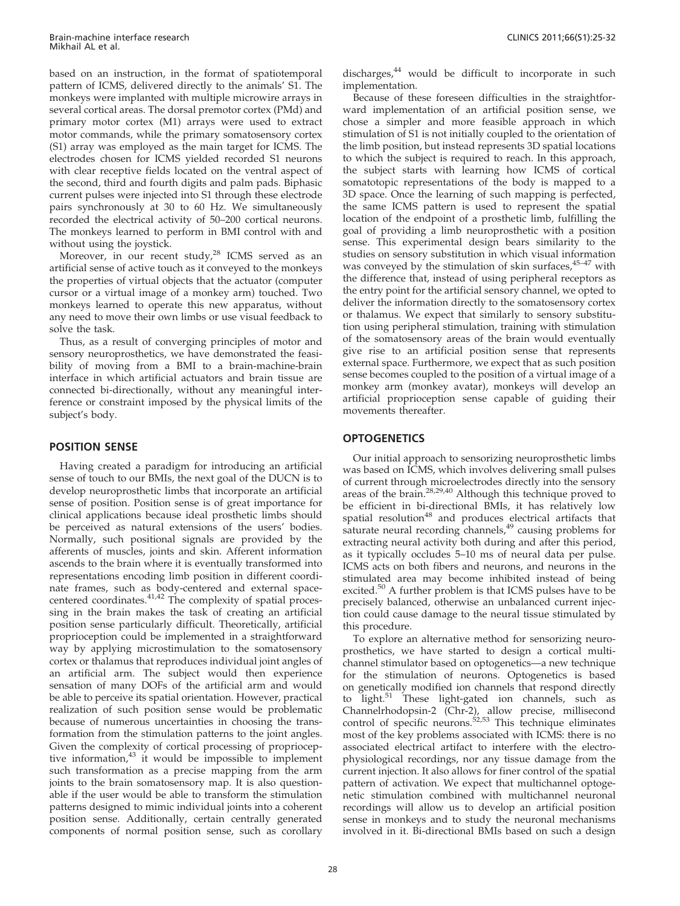based o[n](#page-6-0) [an](#page-6-0) [instruction,](#page-6-0) [in](#page-6-0) [the](#page-6-0) [format](#page-6-0) [of](#page-6-0) [spatiotemporal](#page-6-0) pattern [of ICMS, delivered directly to the animals' S1. The](#page-6-0) monkey[s were implanted with multiple microwire arrays in](#page-6-0) several c[ortical areas. The dorsal premotor cortex \(PMd\) and](#page-6-0) primary [motor cortex \(M1\) arrays were used to extract](#page-6-0) motor c[ommands, while the primary somatosensory cortex](#page-6-0) (S1) arra[y was employed as the main target for ICMS. The](#page-6-0) electrod[es chosen for ICMS yielded recorded S1 neurons](#page-6-0) with cle[ar receptive fields located on the ventral aspect of](#page-6-0) the seco[nd, third and fourth digits and palm pads. Biphasic](#page-6-0) current [pulses were injected into S1 through these electrode](#page-6-0) pairs sy[nchronously](#page-6-0) [at](#page-6-0) [30](#page-6-0) [to](#page-6-0) [60](#page-6-0) [H](#page-6-0)z. We [sim](#page-6-0)ultaneously recorded the electrical activity of 50–200 cor[tical neurons.](#page-6-0) The mo[nkeys learned to perform in BMI control with and](#page-6-0) without [using the joystick.](#page-6-0)

More[over,](#page-6-0) [in](#page-6-0) [our](#page-6-0) [recent](#page-6-0) [study,](#page-6-0)<sup>28</sup> ICMS served as an artificial [sense of active touch as it conveyed to the monkeys](#page-6-0) the prop[erties of virtual objects that the actuator \(computer](#page-6-0) cursor o[r](#page-6-0) [a](#page-6-0) [virtual](#page-6-0) [ima](#page-6-0)ge of a monkey arm) touched. Two monkeys learned to operate this new apparatus, without any need to move their own limbs or use visual feedback to solve the task.

Thus, as a result of converging principles of motor and sensory neuroprosthetics, we have demonstrated the feasibility of moving from a BMI to a brain-machine-brain interface in which artificial actuators and brain tissue are connected bi-directionally, without any meaningful interference or constraint imposed by the physical limits of the subject's body.

## POSITION SENSE

Having created a paradigm for introducing an artificial sense of touch to our BMIs, the next goal of the DUCN is to develop neuroprosthetic limbs that incorporate an artificial sense of position. Position sense is of great importance for clinical applications because ideal prosthetic limbs should be perceived as natural extensions of the users' bodies. Normally, such positional signals are provided by the afferents of muscles, joints a[nd s](#page-7-0)kin. Afferent information ascends to the brain where it is e[ventually transformed into](#page-7-0) represen[tations](#page-7-0) [encoding](#page-7-0) [limb](#page-7-0) [position](#page-7-0) [in](#page-7-0) [different](#page-7-0) [coordi](#page-7-0)nate fra[mes, such as body-centered and external space](#page-7-0)centered coordinates. $41,42$  [The complexity of spatial proces](#page-7-0)sing in [the](#page-7-0) [brain](#page-7-0) [makes](#page-7-0) [the](#page-7-0) [task](#page-7-0) [of](#page-7-0) [creating](#page-7-0) [an](#page-7-0) [artificial](#page-7-0) position [sense particularly difficult. Theoretically, artificial](#page-7-0) proprioc[eption could be implemented in a straightforward](#page-7-0) way by [applying microstimulation to the somatosensory](#page-7-0) cortex o[r thalamus that reproduces individual joint angles of](#page-7-0) an artif[icial arm. The subject would then experience](#page-7-0) sensatio[n of many DOFs of the artificial arm and would](#page-7-0) be able t[o perceive its spatial orientation. However, practical](#page-7-0) realizati[on of such position sense would be problematic](#page-7-0) because of numerous unc[ertainties in choosing the trans](#page-7-0)formatio[n from the stimulation patterns to the joint angles.](#page-7-0) Given t[he complexity of cortical processing of propriocep](#page-7-0)tive information,<sup>43</sup> [it would be impossible to implement](#page-7-0) such tra[nsformation as a precise mapping from the arm](#page-7-0) joints to [the](#page-7-0) [brain](#page-7-0) [somatosensory](#page-7-0) [map.](#page-7-0) [It](#page-7-0) [is](#page-7-0) [also](#page-7-0) [question](#page-7-0)able if t[he user would be able to transform the stimulation](#page-7-0) patterns designed to mimic individual joints into a coherent position sense. Additionally, certain centrally generated components of normal position sense, such as corollary discharges, $44$  would be difficult to incorporate in such implementation.

Because of these foreseen difficulties in the straightforward implementation of an artificial position sense, we chose a simpler and more feasible approach in which stimulation of S1 is not initially coupled to the orientation of the limb position, but instead represents 3D spatial locations to which the subject is required to reach. In this approach, the subject starts with learning how ICMS of cortical somatotopic representations of the body is mapped to a 3D space. Once the learning of such mapping is perfected, the same ICMS pattern is used to represent the spatial location of the endpoint of a prosthetic limb, fulfilling th[e](#page-7-0) goal of providing a limb neuroprosthetic with a position sense. [This experimental design bears similarity to the](#page-7-0) studies [on](#page-7-0) [sensory](#page-7-0) [substitution](#page-7-0) [in](#page-7-0) [which](#page-7-0) [visual](#page-7-0) [information](#page-7-0) was con[veyed by the stimulation of skin surfaces,](#page-7-0)  $45-47$  with the diffe[rence](#page-7-0) [that,](#page-7-0) [instead](#page-7-0) [of](#page-7-0) [using](#page-7-0) [peripheral](#page-7-0) [receptors](#page-7-0) [as](#page-7-0) the entr[y](#page-7-0) [point](#page-7-0) [for](#page-7-0) [the](#page-7-0) [artificial](#page-7-0) [sensory](#page-7-0) [channel,](#page-7-0) [we](#page-7-0) [opted](#page-7-0) [to](#page-7-0) deliver t[he](#page-7-0) [information](#page-7-0) [directly](#page-7-0) [to](#page-7-0) [the](#page-7-0) [somatosensory](#page-7-0) [cortex](#page-7-0) or thala[mus.](#page-7-0) [We](#page-7-0) [expect](#page-7-0) [that](#page-7-0) [similarly](#page-7-0) [to](#page-7-0) [sensory](#page-7-0) [substitu](#page-7-0)tion usi[ng peripheral stimulation, training with stimulation](#page-7-0) of the s[omatosensory](#page-7-0) [areas](#page-7-0) [of](#page-7-0) [the](#page-7-0) [brain](#page-7-0) [would](#page-7-0) [eventually](#page-7-0) give ris[e to an artificial position sense that represents](#page-7-0) external [space.](#page-7-0) [Furthermore,](#page-7-0) [we](#page-7-0) [expect](#page-7-0) [that](#page-7-0) [as](#page-7-0) [such](#page-7-0) [position](#page-7-0) sense be[comes coupled to the po](#page-7-0)sition of a virtual image of a monkey arm (monkey avatar), monkeys will develop an artificial proprioception sense capable of guiding their movements thereafter.

## **OPTOGENETICS**

Our initial approach to s[ensorizing neuroprosthetic limbs](#page-6-0) was bas[ed on ICMS, which](#page-7-0) [involves](#page-6-0) [delivering](#page-6-0) [small](#page-6-0) [pulses](#page-6-0) of curre[nt through microelectrodes directly into the sensory](#page-7-0) areas of the brain.28,29,40 Although this techni[que](#page-7-0) [proved](#page-7-0) [to](#page-7-0) be effici[ent in bi-directional BMIs, it has relatively low](#page-7-0) spatial resolution<sup>48</sup> [and](#page-7-0) [produces](#page-7-0) [electrical](#page-7-0) [artifacts](#page-7-0) [that](#page-7-0) saturate [neural](#page-7-0) [recording](#page-7-0) [channels,](#page-7-0)<sup>49</sup> causing problems for extractin[g neural activity both during and after this period,](#page-7-0) as it typically oc[cludes](#page-7-0) [5–10](#page-7-0) [ms](#page-7-0) [of](#page-7-0) [neural](#page-7-0) [data](#page-7-0) [per](#page-7-0) [pulse.](#page-7-0) ICMS ac[ts on both fibers and neurons, and neurons in the](#page-7-0) stimulat[ed](#page-7-0) [area](#page-7-0) [may](#page-7-0) [become](#page-7-0) [inhibited](#page-7-0) [instead](#page-7-0) [of](#page-7-0) [being](#page-7-0) excited.<sup>50</sup> [A further prob](#page-7-0)lem is that ICMS pulses have to be precisely balanced, otherwise an unbalanced current injection could cause damage to the neural tissue stimulated by this procedure.

To explore an alternative method for sensorizing neuroprosthetics, we [hav](#page-7-0)e started to design a cortical multichannel stimulator [based](#page-7-0) [on](#page-7-0) [optogenetics—a](#page-7-0) [new](#page-7-0) [technique](#page-7-0) for the [stimulation of neurons. Optogenetics is based](#page-7-0) on genetically modified ion channels th[at](#page-7-0) [respond](#page-7-0) [directly](#page-7-0) to light.<sup>51</sup> [These light-gated ion channels, such as](#page-7-0) Channel[rhodopsin-2](#page-7-0) [\(Chr-2\),](#page-7-0) [allow](#page-7-0) [precise,](#page-7-0) [millisecond](#page-7-0) control of specific neurons.<sup>52,53</sup> [This](#page-7-0) [technique](#page-7-0) [eliminates](#page-7-0) most of [the](#page-7-0) [key](#page-7-0) [problems](#page-7-0) [associated](#page-7-0) [with](#page-7-0) [ICMS:](#page-7-0) [there](#page-7-0) [is](#page-7-0) [no](#page-7-0) associat[ed](#page-7-0) [electrical](#page-7-0) [artifact](#page-7-0) [to](#page-7-0) [interfere](#page-7-0) [with](#page-7-0) [the](#page-7-0) [electro](#page-7-0)physiolo[gical recordings, nor any tissue damage from the](#page-7-0) current i[njection.](#page-7-0) [It](#page-7-0) [also](#page-7-0) [allows](#page-7-0) [for](#page-7-0) [finer](#page-7-0) [control](#page-7-0) [of](#page-7-0) [the](#page-7-0) [spatial](#page-7-0) pattern [of activation. We expect that multichannel optoge](#page-7-0)netic sti[mulation](#page-7-0) [combined](#page-7-0) [with](#page-7-0) [multichannel](#page-7-0) [neuronal](#page-7-0) recordings will allow us to develop an artificial position sense in monkeys and to study the neuronal mechanisms involved in it. Bi-directional BMIs based on such a design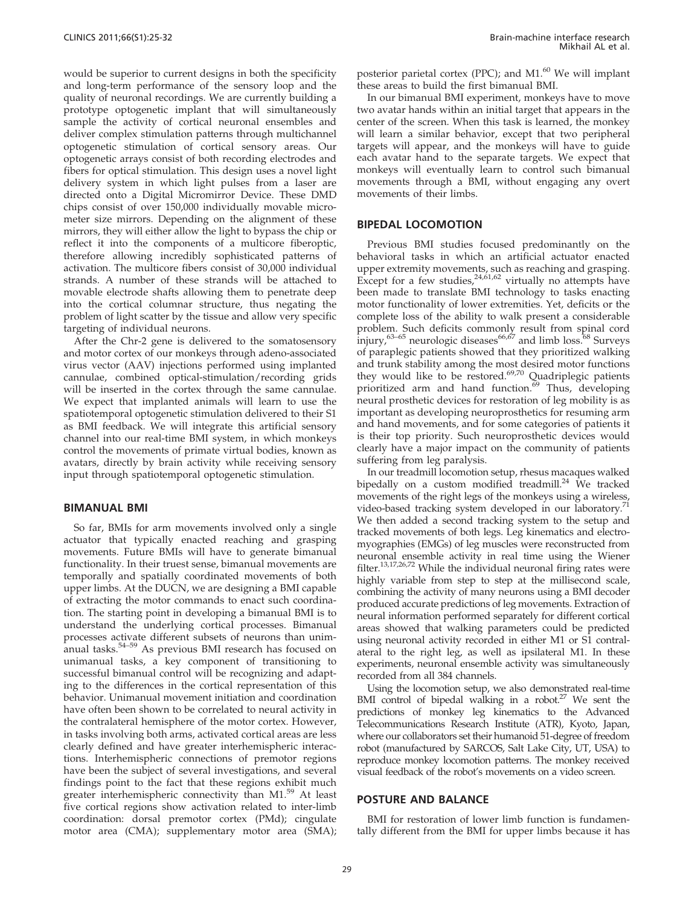would b[e](#page-7-0) [superior](#page-7-0) [to](#page-7-0) [current](#page-7-0) [designs](#page-7-0) [in](#page-7-0) [both](#page-7-0) [the](#page-7-0) [specificity](#page-7-0) and lon[g-term performance of the sensory loop and the](#page-7-0) quality [of neuronal recordings. We are currently building a](#page-7-0) prototy[pe optogenetic implant that will simultaneously](#page-7-0) sample [the activity of cortical neuronal ensembles and](#page-7-0) deliver [complex](#page-7-0) [stimulation](#page-7-0) [patterns](#page-7-0) [through](#page-7-0) [multichannel](#page-7-0) optogen[etic stimulation of cortical sensory areas. Our](#page-7-0) optogen[etic arrays consist of both recording electrodes and](#page-7-0) fibers fo[r](#page-7-0) [optical](#page-7-0) [stimulation.](#page-7-0) [This](#page-7-0) [design](#page-7-0) [uses](#page-7-0) [a](#page-7-0) [novel](#page-7-0) [light](#page-7-0) delivery [system in which light pulses from a laser are](#page-7-0) directed [onto a Digital Micromirror Device. These DMD](#page-7-0) chips co[nsist](#page-7-0) [of](#page-7-0) [over](#page-7-0) [150,000](#page-7-0) [individually](#page-7-0) [movable](#page-7-0) [micro](#page-7-0)meter si[ze mirrors. Depending on the alignment of these](#page-7-0) mirrors, [they will either allow the light to bypass the chip or](#page-7-0) reflect i[t into the components of a multicore fiberoptic,](#page-7-0) therefor[e allowing incredibly sophisticated patterns of](#page-7-0) activatio[n. The multicore fibers consist of 30,000 individual](#page-7-0) strands. [A number of these strands will be attached to](#page-7-0) movable [electrode shafts allowing them](#page-7-0) to penetrate deep into the cortical columnar structure, thus negating the problem of light scatter by the tissue and allow very specific targeting of individual neurons.

After the Chr-2 gene is delivered to the somatosensory and motor cortex of our monkeys through adeno-associated virus vector (AAV) injections performed using implanted cannulae, combined optical-stimulation/recording grids will be inserted in the cortex through the same cannulae. We expect that implanted animals will learn to use the spatiotemporal optogenetic stimulation delivered to their S1 as BMI feedback. We will integrate this artificial sensory channel into our real-time BMI system, in which monkeys control the movements of primate virtual bodies, known as avatars, directly by brain activity while receiving sensory input through spatiotemporal optogenetic stimulation.

#### BIMANUAL BMI

So far, BMIs for arm movements involved only a single actuator that typically enacted reaching and grasping movements. Future BMIs will have to generate bimanual functionality. In their truest sense, bimanual movements are temporally and spatially coordinated movements of both upper limbs. At the DUCN, we are designing a BMI capable of extracting the m[otor c](#page-7-0)ommands to enact such coordination. The starting point i[n developing a bimanual BMI is to](#page-7-0) underst[and the underlying cortical processes. Bimanual](#page-7-0) processe[s activate different subsets of neurons than unim](#page-7-0)anual tasks.54–59 [As](#page-7-0) [previous](#page-7-0) [BMI](#page-7-0) [research](#page-7-0) [has](#page-7-0) [focused](#page-7-0) [on](#page-7-0) uniman[ual tasks, a key component of transitioning to](#page-7-0) successf[ul bimanual control will be recognizing and adapt](#page-7-0)ing to t[he](#page-7-0) [differences](#page-7-0) [in](#page-7-0) [the](#page-7-0) [cortical](#page-7-0) [representation](#page-7-0) [of](#page-7-0) [this](#page-7-0) behavio[r. Unimanual movement initiation and coordination](#page-7-0) have oft[en been shown to be correlated to neural activity in](#page-7-0) the cont[ralateral](#page-7-0) [hemisphere](#page-7-0) [of](#page-7-0) [the](#page-7-0) [motor](#page-7-0) [cortex.](#page-7-0) [However,](#page-7-0) in tasks [involving both arms, activated cortical areas are less](#page-7-0) clearly [defined and have greater interhemispheric interac](#page-7-0)tions. Interhemispheric connections of premotor regions have be[en the subject of several investigations, and several](#page-7-0) findings [point](#page-7-0) [to](#page-7-0) [the](#page-7-0) [fact](#page-7-0) [that](#page-7-0) [these](#page-7-0) [regions](#page-7-0) [exhibit](#page-7-0) [much](#page-7-0) greater [interhemispheric connectivity than M1.](#page-7-0)<sup>59</sup> At least five cortical regions show activation related to inter-limb coordination: dorsal premotor cortex (PMd); cingulate motor area (CMA); supplementary motor area (SMA); posterior parietal cortex (PPC); and  $M1.^{60}$  We will implant these areas to build the first bimanual BMI.

In our bimanual BMI experiment, monkeys have to move two avatar hands within an initial target that appears in the center of the screen. When this task is learned, the monkey will learn a similar behavior, except that two peripheral targets will appear, and the monkeys will have to guide each avatar hand to the separate targets. We expect that monkeys will eventually learn to control such bimanual movements through a BMI, without engaging any overt movements of their limbs.

#### BIPEDAL LOCOMOTION

Previous BMI studies focuse[d](#page-6-0) [predominantly on the](#page-6-0) behavio[ral](#page-6-0) [tasks](#page-6-0) [in](#page-6-0) [which](#page-6-0) [an](#page-6-0) [artificial](#page-6-0) [actuator](#page-6-0) [enacted](#page-6-0) upper e[xtremity movements, such as reaching and grasping.](#page-6-0) Except for a few studies,  $24,61,62$  [virtually](#page-6-0) [no](#page-6-0) [attempts](#page-6-0) [have](#page-6-0) been m[ade to tra](#page-7-0)[n](#page-6-0)[slate BMI technology t](#page-7-0)[o](#page-6-0) [tasks enacting](#page-7-0) motor functionality of lower extremities. Yet, deficits or the complet[e loss of the ability to walk present a considerable](#page-7-0) problem[. Such deficits commonly result from](#page-7-0) [spinal](#page-7-0) [cord](#page-7-0) injury,<sup>63–65</sup> [neurologic diseases](#page-7-0)<sup>66,67</sup> and limb loss.<sup>68</sup> Surveys of paraplegic patients showed that they prioritiz[ed](#page-7-0) [walking](#page-7-0) and tru[nk](#page-7-0) [stability](#page-7-0) [among](#page-7-0) [the](#page-7-0) [most](#page-7-0) [desired](#page-7-0) [motor](#page-7-0) [functions](#page-7-0) they wo[uld](#page-7-0) [like](#page-7-0) [to](#page-7-0) [be](#page-7-0) restored. $69,70$  Quadriplegic patients prioritiz[ed](#page-7-0) [arm](#page-7-0) [and](#page-7-0) [hand](#page-7-0) function.<sup>69</sup> Thus, developing neural p[rosthetic](#page-7-0) [devices](#page-7-0) [for](#page-7-0) [restoration](#page-7-0) [of](#page-7-0) [leg](#page-7-0) [mobility](#page-7-0) [is](#page-7-0) [as](#page-7-0) importa[nt](#page-7-0) [as](#page-7-0) [developing](#page-7-0) [neuroprosthetics](#page-7-0) [for](#page-7-0) [resuming](#page-7-0) [arm](#page-7-0) and han[d](#page-7-0) [movements,](#page-7-0) [and](#page-7-0) [for](#page-7-0) [some](#page-7-0) [c](#page-7-0)ategories of patients it is their top priority. Such neuroprosthetic devices [w](#page-6-0)ould clearly have a major impact on the community of pa[tients](#page-6-0) sufferin[g](#page-6-0)[from](#page-6-0)[leg](#page-6-0)[paralysis.](#page-6-0)

In our treadmill locomotion setup, rhesus macaques walked bipedally on a custom modified treadmill.<sup>24</sup> We tracked moveme[nts](#page-7-0) [of](#page-7-0) [the](#page-7-0) [right](#page-7-0) [legs](#page-7-0) [of](#page-7-0) [the](#page-7-0) [monkeys](#page-7-0) [using](#page-7-0) [a](#page-7-0) [wireless,](#page-7-0) video-based tracking system developed in our laboratory.<sup>71</sup> We the[n added a se](#page-6-0)[cond](#page-7-0) [tracking](#page-7-0) [system](#page-7-0) [to](#page-7-0) [the](#page-7-0) [setup](#page-7-0) [and](#page-7-0) tracked movements o[f both legs. Leg kinematics and electro](#page-6-0)myogra[phies](#page-6-0) [\(EMGs\)](#page-6-0) [of](#page-6-0) [leg](#page-6-0) [muscles](#page-6-0) [were](#page-6-0) [reconstructed](#page-6-0) [from](#page-6-0) neurona[l ensemble activity in real time using the Wiener](#page-6-0) filter.<sup>13,17,26,72</sup> [While](#page-6-0) [the](#page-6-0) [individual](#page-6-0) [neuronal](#page-6-0) [firing](#page-6-0) [rates](#page-6-0) [were](#page-6-0) highly [variable from step to step at the millisecond scale,](#page-6-0) combini[ng](#page-6-0) [the](#page-6-0) [activity](#page-6-0) [of](#page-6-0) [many](#page-6-0) [neurons](#page-6-0) [using](#page-6-0) [a](#page-6-0) [BMI](#page-6-0) [decoder](#page-6-0) produce[d accurate predictions of leg movements. Extraction of](#page-6-0) neural i[nformation](#page-6-0) [performed](#page-6-0) [separately](#page-6-0) [for](#page-6-0) [different](#page-6-0) [cortical](#page-6-0) areas sh[owed](#page-6-0) [that](#page-6-0) [walking](#page-6-0) [parameters](#page-6-0) [could](#page-6-0) [be](#page-6-0) [predicted](#page-6-0) using n[euronal](#page-6-0) [activity](#page-6-0) [recorded](#page-6-0) [in](#page-6-0) [eith](#page-6-0)er M1 or S1 contralateral to the right leg, as well as ipsilateral M1. I[n](#page-6-0) these experiments, neuronal ensemble activity was simultane[ously](#page-6-0) recorde[d from all 384 channels.](#page-6-0)

Using [the](#page-6-0) [locomotion](#page-6-0) [setup,](#page-6-0) [we](#page-6-0) [also](#page-6-0) [demonstrated](#page-6-0) [real-time](#page-6-0) BMI control of bipedal walking in a robot. $27$  We sent the predictio[ns](#page-6-0) [of](#page-6-0) [monkey](#page-6-0) [leg](#page-6-0) [kinematics](#page-6-0) [to](#page-6-0) [the](#page-6-0) [Advanced](#page-6-0) Telecom[munications Research Institute \(ATR\), Kyoto, Japan,](#page-6-0) where o[ur](#page-6-0) [collaborators](#page-6-0) [set](#page-6-0) [their](#page-6-0) [humanoid](#page-6-0) [51-degree](#page-6-0) [of](#page-6-0) [freedom](#page-6-0) robot (manufactured by SARCOS, Salt Lake City, UT, USA) to [repro](#page-7-0)duce monkey locomotion patterns. The monkey received visual feedback of the robot's movements on a video screen.

#### POSTURE AND BALANCE

BMI for restoration of lower limb function is fundamentally different from the BMI for upper limbs because it has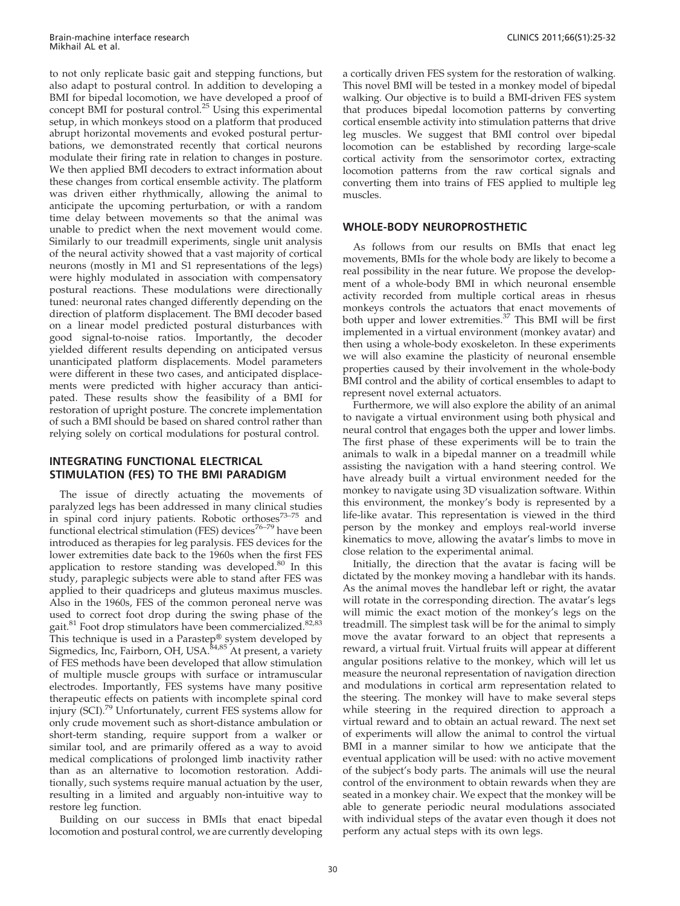to not only replicate basic gait and stepp[ing](#page-6-0) [functions,](#page-6-0) [but](#page-6-0) also ada[pt](#page-6-0) [to](#page-6-0) [postural](#page-6-0) [control.](#page-6-0) [In](#page-6-0) [addition](#page-6-0) [to](#page-6-0) [developing](#page-6-0) [a](#page-6-0) BMI for [bipedal](#page-6-0) [locomotion,](#page-6-0) [we](#page-6-0) [have](#page-6-0) [developed](#page-6-0) [a](#page-6-0) [proof](#page-6-0) [of](#page-6-0) concept [BMI](#page-6-0) [for](#page-6-0) [postural](#page-6-0) [control.](#page-6-0)<sup>25</sup> Using this experimental setup, in [which](#page-6-0) [monkeys](#page-6-0) [stood](#page-6-0) [on](#page-6-0) [a](#page-6-0) [platform](#page-6-0) [that](#page-6-0) [produced](#page-6-0) abrupt [horizontal](#page-6-0) [movements](#page-6-0) [and](#page-6-0) [evoked](#page-6-0) [postural](#page-6-0) [pertur](#page-6-0)bations, [we](#page-6-0) [demonstrated](#page-6-0) [recently](#page-6-0) [that](#page-6-0) [cortical](#page-6-0) [neurons](#page-6-0) modulat[e their firing rate in relation to changes in posture.](#page-6-0) We then [applied](#page-6-0) [BMI](#page-6-0) [decoders](#page-6-0) [to](#page-6-0) [extract](#page-6-0) [information](#page-6-0) [about](#page-6-0) these ch[anges from cortical ensemble activity. The platform](#page-6-0) was dri[ven](#page-6-0) [either](#page-6-0) [rhythmically,](#page-6-0) [allowing](#page-6-0) [the](#page-6-0) [animal](#page-6-0) [to](#page-6-0) anticipat[e the upcoming perturbation, or with a random](#page-6-0) time de[lay](#page-6-0) [between](#page-6-0) [movements](#page-6-0) [so](#page-6-0) [that](#page-6-0) [the](#page-6-0) [animal](#page-6-0) [was](#page-6-0) unable t[o predict when the next movement would come.](#page-6-0) Similarl[y](#page-6-0) [to](#page-6-0) [our](#page-6-0) [treadmill](#page-6-0) [experiments,](#page-6-0) [single](#page-6-0) [unit](#page-6-0) [analysis](#page-6-0) of the n[eural activity showed that a vast majority of cortical](#page-6-0) neurons [\(mostly](#page-6-0) [in](#page-6-0) [M1](#page-6-0) [and](#page-6-0) [S1](#page-6-0) [representations](#page-6-0) [of](#page-6-0) [the](#page-6-0) [legs\)](#page-6-0) were hi[ghly modulated in association with compensatory](#page-6-0) postural [reactions.](#page-6-0) [These](#page-6-0) [modulations](#page-6-0) [were](#page-6-0) [directionally](#page-6-0) tuned: n[euronal rates changed differently depending on the](#page-6-0) directio[n](#page-6-0) [of](#page-6-0) [platform](#page-6-0) [displacement.](#page-6-0) [The](#page-6-0) [BMI](#page-6-0) [decoder](#page-6-0) [based](#page-6-0) on a li[near model predicted postural disturbances with](#page-6-0) good s[ignal-to-noise](#page-6-0) [ratios.](#page-6-0) [Importantly,](#page-6-0) [the](#page-6-0) [decoder](#page-6-0) yielded [different results depending on anticipated versus](#page-6-0) unantici[pated](#page-6-0) [platform](#page-6-0) [displacements.](#page-6-0) [Model](#page-6-0) [parameters](#page-6-0) were dif[ferent in these two cases, and anticipated displace](#page-6-0)ments [were](#page-6-0) [predicted](#page-6-0) [with](#page-6-0) [higher](#page-6-0) [accuracy](#page-6-0) [than](#page-6-0) [antici](#page-6-0)pated. [These](#page-6-0) [results](#page-6-0) [show](#page-6-0) [the](#page-6-0) [feasibility](#page-6-0) [of](#page-6-0) [a](#page-6-0) [BMI](#page-6-0) [for](#page-6-0) restoration of upright posture. The concrete implementation of such a BMI should be based on shared control rather than relying solely on cortical modulations for postural control.

## INTEGRATING FUNCTIONAL ELECTRICAL STIMULATION (FES) TO THE BMI PARADIGM

The i[ssue](#page-7-0) [of](#page-7-0) [directly](#page-7-0) [actuating](#page-7-0) [the](#page-7-0) [movements](#page-7-0) [o](#page-7-0)f paralyze[d](#page-7-0) [legs](#page-7-0) [has](#page-7-0) [been](#page-7-0) [addressed](#page-7-0) [in](#page-7-0) [many](#page-7-0) [clinical](#page-7-0) [studies](#page-7-0) in spina[l cord injury patients. Robotic orthoses](#page-7-0)<sup>73-75</sup> and functional electrical stimulation (FES) devices<sup>76–79</sup> have been introduc[ed](#page-7-0) [as](#page-7-0) [therapies](#page-7-0) [for](#page-7-0) [leg](#page-7-0) [paralysis.](#page-7-0) [FES](#page-7-0) [devices](#page-7-0) [for](#page-7-0) [the](#page-7-0) lower e[xtremities](#page-7-0) [date](#page-7-0) [back](#page-7-0) [to](#page-7-0) [the](#page-7-0) [1960s](#page-7-0) [when](#page-7-0) [the](#page-7-0) [first](#page-7-0) [FES](#page-7-0) applicati[on](#page-7-0) [to](#page-7-0) [restore](#page-7-0) [standing](#page-7-0) [was](#page-7-0) developed. $80$  In this study, p[araplegic subjects were able to stand after FES was](#page-7-0) applied to their quadriceps and gluteus maximus muscles. Also in [the 1960s, FES of the common peroneal nerve was](#page-7-0) used to correct foot drop during the swing [phase](#page-7-0) [of](#page-7-0) [the](#page-7-0) gait.<sup>81</sup> F[oot drop stimulators have been commercialized.](#page-7-0)<sup>82,83</sup> This tec[hnique](#page-7-0) [is](#page-7-0) [used](#page-7-0) [in](#page-7-0) [a](#page-7-0) [Parastep](#page-7-0)® system developed by Sigmedi[cs, Inc, Fairborn, OH, USA.](#page-7-0)<sup>84,85</sup> At present, a variety of FES [methods have been](#page-7-0) [developed](#page-7-0) [that](#page-7-0) [allow](#page-7-0) [stimulation](#page-7-0) of multiple muscle g[roups with surface or intramuscular](#page-7-0) electrod[es.](#page-7-0) [Importantly,](#page-7-0) [FES](#page-7-0) [systems](#page-7-0) [have](#page-7-0) [many](#page-7-0) [positive](#page-7-0) therape[utic effects on patients with incomplete spinal cord](#page-7-0) injury (SCI).<sup>79</sup> [Unfortunately,](#page-7-0) [current](#page-7-0) [FES](#page-7-0) [systems](#page-7-0) [allow](#page-7-0) [for](#page-7-0) only cru[de movement such as short-distance ambulation or](#page-7-0) short-ter[m](#page-7-0) [standing,](#page-7-0) [require](#page-7-0) [support](#page-7-0) [from](#page-7-0) [a](#page-7-0) [walker](#page-7-0) [or](#page-7-0) similar t[ool, and are primarily offered as a way to avoid](#page-7-0) medical [complications](#page-7-0) [of](#page-7-0) [prolonged](#page-7-0) [limb](#page-7-0) [inactivity](#page-7-0) [rather](#page-7-0) than as [an alternative to l](#page-7-0)ocomotion restoration. Additionally, such systems require manual actuation by the user, resulting in a limited and arguably non-intuitive way to restore leg function.

Building on our success in BMIs that enact bipedal locomotion and postural control, we are currently developing a cortically driven FES system for the restoration of walking. This novel BMI will be tested in a monkey model of bipedal walking. Our objective is to build a BMI-driven FES system that produces bipedal locomotion patterns by converting cortical ensemble activity into stimulation patterns that drive leg muscles. We suggest that BMI control over bipedal locomotion can be established by recording large-scale cortical activity from the sensorimotor cortex, extracting locomotion patterns from the raw cortical signals and converting them into trains of FES applied to multiple leg muscles.

## WHOLE-BODY NEUROPROSTHETIC

As follows from our results on BMIs that enact leg movements, BMIs for the whole body are likely to become a real possibility in the near future. We prop[os](#page-6-0)e the development of a whole-body BMI in which neur[onal ensemble](#page-6-0) activity [recorded from multiple cortical areas in rhesus](#page-6-0) monkey[s controls the actuators that enact movements of](#page-6-0) both up[per and lower extremities.](#page-6-0)<sup>37</sup> This BMI will be first implem[ented in a virtual environment \(monkey avatar\) and](#page-6-0) then usi[ng a whole-body exoskeleton. In these experiments](#page-6-0) we will [also examine the plasticity of neu](#page-6-0)ronal ensemble properties caused by their involvement in the whole-body BMI control and the ability of cortical ensembles to adapt to represent novel external actuators.

Furthermore, we will also explore the ability of an animal to navigate a virtual environment using both physical and neural control that engages both the upper and lower limbs. The first phase of these experiments will be to train the animals to walk in a bipedal manner on a treadmill while assisting the navigation with a hand steering control. We [have](#page-7-0) already built a virtual environment needed for the [mon](#page-7-0)key to navigate using 3D visualization software. Within this environment, the monkey's body is represented by a life-like avatar. This representation is viewed in the third [pers](#page-7-0)on by the monkey and employs real-world inverse kinematics to move, allowing the avatar's limbs to move in close relation to the experimental animal.

Initially, the direction that the avatar is facing will be dictated by the monkey moving a handlebar with its hands. As the animal moves the handlebar left or right, the avatar will rotate in the corresponding direction. The avatar's legs will mimic the exact motion of the monkey's legs on the treadmill. The simplest task will be for the animal to simply move the avatar forward to an object that represents a reward, a virtual fruit. Virtual fruits will appear at different angular positions relative to the monkey, which will let us measure the neuronal representation of navigation direction and modulations in cortical arm representation related to the steering. The monkey will have to make several steps while steering in the required direction to approach a virtual reward and to obtain an actual reward. The next set of experiments will allow the animal to control the virtual BMI in a manner similar to how we anticipate that the eventual application will be used: with no active movement of the subject's body parts. The animals will use the neural control of the environment to obtain rewards when they are seated in a monkey chair. We expect that the monkey will be able to generate periodic neural modulations associated with individual steps of the avatar even though it does not perform any actual steps with its own legs.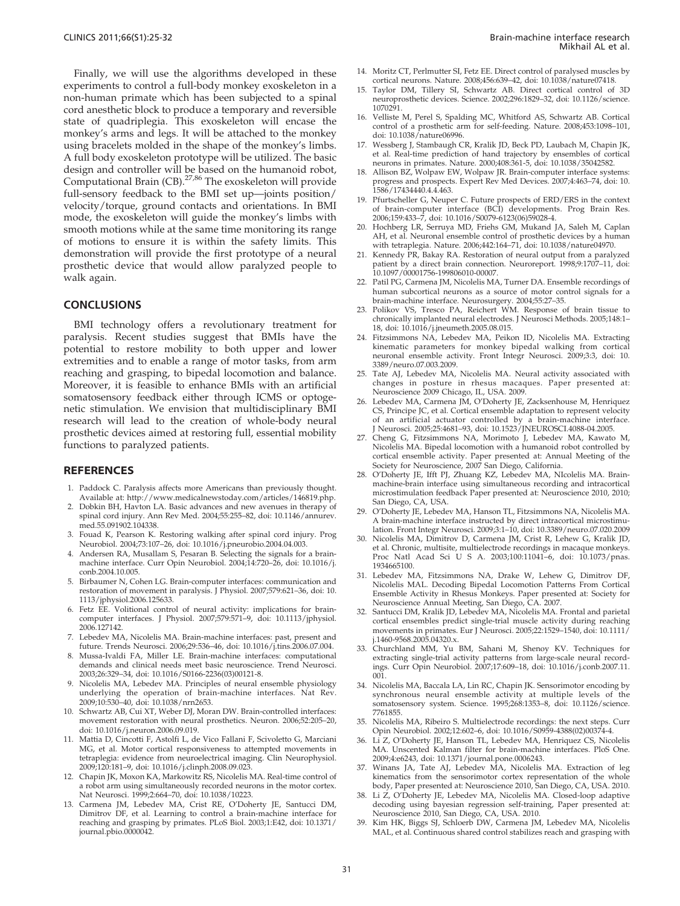<span id="page-6-0"></span>Finally, we will use the algorithms developed in these experiments to control a full-body monkey exoskeleton in a non-human primate which has been subjected to a spinal cord anesthetic block to produce a temporary and reversible state of quadriplegia. This exoskeleton will encase the monkey's arms and legs. It will be attached to the monkey using bracelets molded in the shape of the monkey's limbs. A full body exoskeleton prototype will be utilized. The basic design and controller will be based on the humanoid robot, Computational Brain (CB).<sup>27,86</sup> The exoskeleton will provide full-sensory feedback to the BMI set up—joints position/ velocity/torque, ground contacts and orientations. In BMI mode, the exoskeleton will guide the monkey's limbs with smooth motions while at the same time monitoring its range of motions to ensure it is within the safety limits. This demonstration will provide the first prototype of a neural prosthetic device that would allow paralyzed people to walk again.

#### **CONCLUSIONS**

BMI technology offers a revolutionary treatment for paralysis. Recent studies suggest that BMIs have the potential to restore mobility to both upper and lower extremities and to enable a range of motor tasks, from arm reaching and grasping, to bipedal locomotion and balance. Moreover, it is feasible to enhance BMIs with an artificial somatosensory feedback either through ICMS or optogenetic stimulation. We envision that multidisciplinary BMI research will lead to the creation of whole-body neural prosthetic devices aimed at restoring full, essential mobility functions to paralyzed patients.

#### **REFEREN[CES](http://dx.doi.org/10.1146%2Fannurev.med.55.091902.104338)**

- 1. Paddock [C. Paralysis affects mor](http://dx.doi.org/10.1146%2Fannurev.med.55.091902.104338)e Americans than previously thought. Available [at: http://www.medicalnewstoday.com/articles/146819.php.](http://dx.doi.org/10.1016%2Fj.pneurobio.2004.04.003)
- Dobkin B[H,](http://dx.doi.org/10.1016%2Fj.pneurobio.2004.04.003) [Havton](http://dx.doi.org/10.1016%2Fj.pneurobio.2004.04.003) [LA.](http://dx.doi.org/10.1016%2Fj.pneurobio.2004.04.003) [Basic](http://dx.doi.org/10.1016%2Fj.pneurobio.2004.04.003) [advances](http://dx.doi.org/10.1016%2Fj.pneurobio.2004.04.003) [and](http://dx.doi.org/10.1016%2Fj.pneurobio.2004.04.003) [new](http://dx.doi.org/10.1016%2Fj.pneurobio.2004.04.003) [avenues](http://dx.doi.org/10.1016%2Fj.pneurobio.2004.04.003) [in](http://dx.doi.org/10.1016%2Fj.pneurobio.2004.04.003) [therapy](http://dx.doi.org/10.1016%2Fj.pneurobio.2004.04.003) [of](http://dx.doi.org/10.1016%2Fj.pneurobio.2004.04.003) spinal cor[d injury. Ann Rev Med. 2004;55:255–82, doi: 10.1146/annurev.](http://dx.doi.org/10.1016%2Fj.conb.2004.10.005) med.55.09[1902.104338.](http://dx.doi.org/10.1016%2Fj.conb.2004.10.005)
- 3. Fouad K, [Pearson K. Restor](http://dx.doi.org/10.1016%2Fj.conb.2004.10.005)ing walking after spinal cord injury. Prog Neurobiol. [2004;73:107–26, doi: 10.1016/j.pneurobio.2004.04.003.](http://dx.doi.org/10.1113%2Fjphysiol.2006.125633)
- 4. Andersen [RA, Musallam S, Pesaran B. Selecting the signals for a brain](http://dx.doi.org/10.1113%2Fjphysiol.2006.125633)machine i[nterface. Curr Opin Neurob](http://dx.doi.org/10.1113%2Fjphysiol.2006.125633)[iol.](http://dx.doi.org/10.1113%2Fjphysiol.2006.127142) [2004;14:720–26,](http://dx.doi.org/10.1113%2Fjphysiol.2006.127142) [doi:](http://dx.doi.org/10.1113%2Fjphysiol.2006.127142) [10.1016/j.](http://dx.doi.org/10.1113%2Fjphysiol.2006.127142) conb.2004.10.005.
- 5. Birbaumer [N, Cohen LG. Brain-computer interfaces: communication and](http://dx.doi.org/10.1113%2Fjphysiol.2006.127142) restoration [of movemen](http://dx.doi.org/10.1113%2Fjphysiol.2006.127142)t in paralysis. J Physiol. 2007;579:621–36, doi: 10. 1113/jphy[siol.2006.125633.](http://dx.doi.org/10.1016%2Fj.tins.2006.07.004)
- 6. Fetz EE. [Volitional control of neural activity: implications for brain](http://dx.doi.org/10.1016%2Fj.tins.2006.07.004)computer [interfaces. J Physiol. 2007;579:571–9, doi: 10.1113/jphysiol.](http://dx.doi.org/10.1016%2FS0166-2236%2803%2900121-8) 2006.127142.
- 7. Lebedev [MA,](http://dx.doi.org/10.1016%2FS0166-2236%2803%2900121-8) [Nicolelis](http://dx.doi.org/10.1016%2FS0166-2236%2803%2900121-8) [MA.](http://dx.doi.org/10.1016%2FS0166-2236%2803%2900121-8) [Brain-machine](http://dx.doi.org/10.1016%2FS0166-2236%2803%2900121-8) [interfaces:](http://dx.doi.org/10.1016%2FS0166-2236%2803%2900121-8) [past,](http://dx.doi.org/10.1016%2FS0166-2236%2803%2900121-8) [pre](http://dx.doi.org/10.1016%2FS0166-2236%2803%2900121-8)sent and future. Tre[nds Neurosci. 2006;29:536–46, doi: 10.1016/j.tins.2006.07.004.](http://dx.doi.org/10.1038%2Fnrn2653)
- 8. Mussa-Ival[di FA, Miller LE. Brain-machine interfaces: computational](http://dx.doi.org/10.1038%2Fnrn2653) demands [and clinical needs meet basic neurosc](http://dx.doi.org/10.1038%2Fnrn2653)ience. Trend Neurosci. 2003;26:32[9–34, doi: 10.1016/S0166-2236\(03\)00121-8.](http://dx.doi.org/10.1016%2Fj.neuron.2006.09.019)
- Nicolelis [MA, Lebedev MA. Principles of neural ensemble physiology](http://dx.doi.org/10.1016%2Fj.neuron.2006.09.019) underlyin[g](http://dx.doi.org/10.1016%2Fj.neuron.2006.09.019) [the](http://dx.doi.org/10.1016%2Fj.neuron.2006.09.019) [operation](http://dx.doi.org/10.1016%2Fj.neuron.2006.09.019) [of](http://dx.doi.org/10.1016%2Fj.neuron.2006.09.019) [brain-mach](http://dx.doi.org/10.1016%2Fj.neuron.2006.09.019)ine interfaces. Nat Rev. 2009;10:53[0–40, doi: 10.1038/nrn2653.](http://dx.doi.org/10.1016%2Fj.clinph.2008.09.023)
- 10. Schwartz [AB, Cui XT, Weber DJ, Moran DW. Brain-controlled interfaces:](http://dx.doi.org/10.1016%2Fj.clinph.2008.09.023) movement [restoration with neural prosthetics. Neuron. 2006;52:205–20,](http://dx.doi.org/10.1016%2Fj.clinph.2008.09.023) doi: 10.101[6/j.neuron.2006.09.019.](http://dx.doi.org/10.1016%2Fj.clinph.2008.09.023)
- 11. Mattia D, [Cincotti F, Astolfi L, de Vico Fallani F, Scivoletto G, Marciani](http://dx.doi.org/10.1038%2F10223) MG, et al. [Motor cortical responsiveness to attempted movements in](http://dx.doi.org/10.1038%2F10223) tetraplegia[: evidence from neuroelectrical imaging. Clin N](http://dx.doi.org/10.1038%2F10223)europhysiol. 2009;120:1[81–9, doi: 10.1016/j.clinph.2008.09.023.](http://dx.doi.org/10.1371%2Fjournal.pbio.0000042)
- 12. Chapin JK, [Moxon KA, Markowitz RS, Nicolelis MA. Real-time control of](http://dx.doi.org/10.1371%2Fjournal.pbio.0000042) a robot ar[m using simultaneously recorded neurons in the motor cortex.](http://dx.doi.org/10.1371%2Fjournal.pbio.0000042) Nat Neuro[sci. 1999;2:664–70, doi](http://dx.doi.org/10.1371%2Fjournal.pbio.0000042): 10.1038/10223.
- 13. Carmena JM, Lebedev MA, Crist RE, O'Doherty JE, Santucci DM, Dimitrov DF, et al. Learning to control a brain-machine interface for reaching and grasping by primates. PLoS Biol. 2003;1:E42, doi: 10.1371/ journal.pbio.0000042.
- 14. Moritz CT, [Perlmutt](http://dx.doi.org/10.1126%2Fscience.1070291)er SI, Fetz EE. Direct control of paralysed muscles by cortical ne[urons. Nature. 2008;456:639–42, doi: 10.1038/nature07418.](http://dx.doi.org/10.1038%2Fnature06996)
- 15. Taylor D[M,](http://dx.doi.org/10.1038%2Fnature06996) [Tillery](http://dx.doi.org/10.1038%2Fnature06996) [SI,](http://dx.doi.org/10.1038%2Fnature06996) [Schwartz](http://dx.doi.org/10.1038%2Fnature06996) [AB.](http://dx.doi.org/10.1038%2Fnature06996) [Direct](http://dx.doi.org/10.1038%2Fnature06996) [cortical](http://dx.doi.org/10.1038%2Fnature06996) [control](http://dx.doi.org/10.1038%2Fnature06996) [of](http://dx.doi.org/10.1038%2Fnature06996) [3D](http://dx.doi.org/10.1038%2Fnature06996) neuroprost[hetic](http://dx.doi.org/10.1038%2Fnature06996)[devices.](http://dx.doi.org/10.1038%2Fnature06996)[Science.](http://dx.doi.org/10.1038%2Fnature06996)[200](http://dx.doi.org/10.1038%2Fnature06996)[2;296:1829–32, doi: 10.1126/science.](http://dx.doi.org/10.1038%2F35042582) 1070291.
- Velliste M, [Perel S, Spalding MC, Whitford AS, Schwartz AB. Cortical](http://dx.doi.org/10.1038%2F35042582) control of[a](http://dx.doi.org/10.1038%2F35042582)[prosthetic](http://dx.doi.org/10.1038%2F35042582)[arm](http://dx.doi.org/10.1038%2F35042582)[for](http://dx.doi.org/10.1038%2F35042582)[self-feeding.](http://dx.doi.org/10.1038%2F35042582)[Nature.](http://dx.doi.org/10.1038%2F35042582)[2008;453:1098–101,](http://dx.doi.org/10.1038%2F35042582) doi: 10.1038/nature06996.
- 17. Wessberg [J, Stambaugh CR, Kralik JD, Beck PD, Laubach M, Chapin JK,](http://dx.doi.org/10.1586%2F17434440.4.4.463) et al. Real[-time prediction of han](http://dx.doi.org/10.1586%2F17434440.4.4.463)d trajectory by ensembles of cortical neurons in [primates. Nature. 2000;408:361-5, doi: 10.1038/35042582.](http://dx.doi.org/10.1016%2FS0079-6123%2806%2959028-4)
- 18. Allison BZ[, Wolpaw EW, Wolpaw JR. Brain-computer interface systems:](http://dx.doi.org/10.1016%2FS0079-6123%2806%2959028-4) progress a[nd](http://dx.doi.org/10.1016%2FS0079-6123%2806%2959028-4)[prospects.](http://dx.doi.org/10.1016%2FS0079-6123%2806%2959028-4)[Expert](http://dx.doi.org/10.1016%2FS0079-6123%2806%2959028-4)[Rev](http://dx.doi.org/10.1016%2FS0079-6123%2806%2959028-4)[Med](http://dx.doi.org/10.1016%2FS0079-6123%2806%2959028-4)[Devices.](http://dx.doi.org/10.1016%2FS0079-6123%2806%2959028-4)[2007;4:463–7](http://dx.doi.org/10.1016%2FS0079-6123%2806%2959028-4)[4, doi: 10.](http://dx.doi.org/10.1038%2Fnature04970) 1586/17434440.4.4.463.
- 19. Pfurtschell[er G, Neuper C. Future prospects of ERD/ERS in the context](http://dx.doi.org/10.1038%2Fnature04970) of brain-c[omputer interface \(BCI\) developments. Prog Brain Res.](http://dx.doi.org/10.1038%2Fnature04970) 2006;159:4[33–7, doi: 10.1016/S0079-6123\(06\)59028-4.](http://dx.doi.org/10.1097%2F00001756-199806010-00007)
- 20. Hochberg [LR,](http://dx.doi.org/10.1097%2F00001756-199806010-00007) [Serruya](http://dx.doi.org/10.1097%2F00001756-199806010-00007) [MD,](http://dx.doi.org/10.1097%2F00001756-199806010-00007) [Friehs](http://dx.doi.org/10.1097%2F00001756-199806010-00007) [GM,](http://dx.doi.org/10.1097%2F00001756-199806010-00007) [Mukand](http://dx.doi.org/10.1097%2F00001756-199806010-00007) [JA,](http://dx.doi.org/10.1097%2F00001756-199806010-00007) [Saleh](http://dx.doi.org/10.1097%2F00001756-199806010-00007) [M,](http://dx.doi.org/10.1097%2F00001756-199806010-00007) [Caplan](http://dx.doi.org/10.1097%2F00001756-199806010-00007) AH, et al. [Neuronal](http://dx.doi.org/10.1097%2F00001756-199806010-00007) [ensemble](http://dx.doi.org/10.1097%2F00001756-199806010-00007) [control](http://dx.doi.org/10.1097%2F00001756-199806010-00007) [of](http://dx.doi.org/10.1097%2F00001756-199806010-00007) [prost](http://dx.doi.org/10.1097%2F00001756-199806010-00007)hetic devices by a human with tetraplegia. Nature. 2006;442:164-71, doi: 10.1038/nature04970.
- 21. Kennedy PR, Bakay RA. Restoration of neural output from a paralyzed patient by [a direct brain connection. Neuroreport. 1998;9:1707–11, doi:](http://dx.doi.org/10.1016%2Fj.jneumeth.2005.08.015) 10.1097/00001756-199806010-00007.
- 22. Patil PG, C[armena](http://dx.doi.org/10.1016%2Fj.jneumeth.2005.08.015) [JM,](http://dx.doi.org/10.1016%2Fj.jneumeth.2005.08.015) [Nicolelis](http://dx.doi.org/10.1016%2Fj.jneumeth.2005.08.015) [MA,](http://dx.doi.org/10.1016%2Fj.jneumeth.2005.08.015) [Turner](http://dx.doi.org/10.1016%2Fj.jneumeth.2005.08.015) [DA.](http://dx.doi.org/10.1016%2Fj.jneumeth.2005.08.015) [Ensemble](http://dx.doi.org/10.1016%2Fj.jneumeth.2005.08.015) [recordings](http://dx.doi.org/10.1016%2Fj.jneumeth.2005.08.015) [of](http://dx.doi.org/10.1016%2Fj.jneumeth.2005.08.015) human su[bcortical](http://dx.doi.org/10.1016%2Fj.jneumeth.2005.08.015) [neurons](http://dx.doi.org/10.1016%2Fj.jneumeth.2005.08.015) [as](http://dx.doi.org/10.1016%2Fj.jneumeth.2005.08.015) [a](http://dx.doi.org/10.1016%2Fj.jneumeth.2005.08.015) [source](http://dx.doi.org/10.1016%2Fj.jneumeth.2005.08.015) [of](http://dx.doi.org/10.1016%2Fj.jneumeth.2005.08.015) [motor](http://dx.doi.org/10.1016%2Fj.jneumeth.2005.08.015) control signals for a brain-mac[hine](http://dx.doi.org/10.3389%2Fneuro.07.003.2009) [interface.](http://dx.doi.org/10.3389%2Fneuro.07.003.2009) [Neurosurgery.](http://dx.doi.org/10.3389%2Fneuro.07.003.2009) [2004;55:27–35.](http://dx.doi.org/10.3389%2Fneuro.07.003.2009)
- 23. Polikov V[S,](http://dx.doi.org/10.3389%2Fneuro.07.003.2009) [Tresco](http://dx.doi.org/10.3389%2Fneuro.07.003.2009) [PA,](http://dx.doi.org/10.3389%2Fneuro.07.003.2009) [Reichert](http://dx.doi.org/10.3389%2Fneuro.07.003.2009) [WM.](http://dx.doi.org/10.3389%2Fneuro.07.003.2009) [Response](http://dx.doi.org/10.3389%2Fneuro.07.003.2009) [of](http://dx.doi.org/10.3389%2Fneuro.07.003.2009) [brain](http://dx.doi.org/10.3389%2Fneuro.07.003.2009) [tissue](http://dx.doi.org/10.3389%2Fneuro.07.003.2009) [to](http://dx.doi.org/10.3389%2Fneuro.07.003.2009) chronically [implanted](http://dx.doi.org/10.3389%2Fneuro.07.003.2009) [neural](http://dx.doi.org/10.3389%2Fneuro.07.003.2009) [electrodes.](http://dx.doi.org/10.3389%2Fneuro.07.003.2009) [J](http://dx.doi.org/10.3389%2Fneuro.07.003.2009) [Neurosci](http://dx.doi.org/10.3389%2Fneuro.07.003.2009) [Methods.](http://dx.doi.org/10.3389%2Fneuro.07.003.2009) [2005;148:1–](http://dx.doi.org/10.3389%2Fneuro.07.003.2009) 18, doi: 10.[1016/j.jneumeth.2005.08.](http://dx.doi.org/10.3389%2Fneuro.07.003.2009)015.
- 24. Fitzsimmons NA, Lebedev MA, Peikon ID, Nicolelis MA. Extracting kinematic parameters for monkey bipedal walking from cortical neuronal [ensemble activity. Front Integr Neurosci. 2009;3:3, doi: 10.](http://dx.doi.org/10.1523%2FJNEUROSCI.4088-04.2005) 3389/neuro.07.003.2009.
- 25. Tate AJ, L[ebedev MA, Nicolelis MA. Neural activity associated with](http://dx.doi.org/10.1523%2FJNEUROSCI.4088-04.2005) changes i[n posture in rhesus macaques. Paper presented at:](http://dx.doi.org/10.1523%2FJNEUROSCI.4088-04.2005) Neuroscience 2009 Chicago, IL, USA. 2009.
- 26. Lebedev MA, Carmena JM, O'Doherty JE, Zacksenhouse M, Henriquez CS, Principe JC, et al. Cortical ensemble adaptation to represent velocity of an artificial actuator controlled by a brain-machine interface. J Neurosci. 2005;25:4681–93, doi: 10.1523/JNEUROSCI.4088-04.2005.
- 27. Cheng G, Fitzsimmons NA, Morimoto J, Lebedev MA, Kawato M, Nicolelis MA. Bipedal locomotion with a humanoid robot controlled by cortical ensemble activity. Paper presented at: Annual Meeting of the Society for Neuroscience, 2007 San Diego, California.
- [28. O](http://dx.doi.org/10.1146%2Fannurev.med.55.091902.104338)'Doherty JE, Ifft PJ, Zhuang KZ, Lebedev MA, NIcolelis MA. Brainmachine-brain interface using simultaneous recording and intracortical microstim[ulation feedback Paper presented at: Neuroscience 2010, 2010;](http://dx.doi.org/10.1073%2Fpnas.1934665100) San Diego, CA, USA.
- 29. O'Doherty [JE, Lebedev MA, Hanson TL, Fitzsimmons NA, Nicolelis MA.](http://dx.doi.org/10.1073%2Fpnas.1934665100) A brain-m[achine interface instructed by direct intracortical microstimu](http://dx.doi.org/10.1073%2Fpnas.1934665100)lation. Fro[nt Integr Neu](http://dx.doi.org/10.1073%2Fpnas.1934665100)rosci. 2009;3:1–10, doi: 10.3389/neuro.07.020.2009
- 30. Nicolelis MA, Dimitrov D, Carmena JM, Crist R, Lehew G, Kralik JD, et al. Chronic, multisite, multielectrode recordings in macaque monkeys. Proc Natl Acad Sci U S A. 2003;100:11041-6, doi: 10.1073/pnas. 1934665100.
- 31. Lebedev [MA,](http://dx.doi.org/10.1111%2Fj.1460-9568.2005.04320.x) [Fitzsimmons](http://dx.doi.org/10.1111%2Fj.1460-9568.2005.04320.x) [NA,](http://dx.doi.org/10.1111%2Fj.1460-9568.2005.04320.x) [Drake](http://dx.doi.org/10.1111%2Fj.1460-9568.2005.04320.x) [W,](http://dx.doi.org/10.1111%2Fj.1460-9568.2005.04320.x) [Lehew](http://dx.doi.org/10.1111%2Fj.1460-9568.2005.04320.x) [G,](http://dx.doi.org/10.1111%2Fj.1460-9568.2005.04320.x) [Dimitrov](http://dx.doi.org/10.1111%2Fj.1460-9568.2005.04320.x) [DF,](http://dx.doi.org/10.1111%2Fj.1460-9568.2005.04320.x) Nicolelis [MAL.](http://dx.doi.org/10.1111%2Fj.1460-9568.2005.04320.x) [Decoding](http://dx.doi.org/10.1111%2Fj.1460-9568.2005.04320.x) [Bipedal](http://dx.doi.org/10.1111%2Fj.1460-9568.2005.04320.x) [Locomotion](http://dx.doi.org/10.1111%2Fj.1460-9568.2005.04320.x) [Patterns](http://dx.doi.org/10.1111%2Fj.1460-9568.2005.04320.x) [From](http://dx.doi.org/10.1111%2Fj.1460-9568.2005.04320.x) [Cortical](http://dx.doi.org/10.1111%2Fj.1460-9568.2005.04320.x) Ensemble [Activity](http://dx.doi.org/10.1111%2Fj.1460-9568.2005.04320.x) [in](http://dx.doi.org/10.1111%2Fj.1460-9568.2005.04320.x) [Rhesus](http://dx.doi.org/10.1111%2Fj.1460-9568.2005.04320.x) [Monkeys.](http://dx.doi.org/10.1111%2Fj.1460-9568.2005.04320.x) [Paper](http://dx.doi.org/10.1111%2Fj.1460-9568.2005.04320.x) [presented](http://dx.doi.org/10.1111%2Fj.1460-9568.2005.04320.x) [at:](http://dx.doi.org/10.1111%2Fj.1460-9568.2005.04320.x) [Society](http://dx.doi.org/10.1111%2Fj.1460-9568.2005.04320.x) [for](http://dx.doi.org/10.1111%2Fj.1460-9568.2005.04320.x) Neuroscie[nce Annual Meeting, San](http://dx.doi.org/10.1111%2Fj.1460-9568.2005.04320.x) Diego, CA. 2007.
- 32. Santucci D[M,](http://dx.doi.org/10.1016%2Fj.conb.2007.11.001) [Kralik](http://dx.doi.org/10.1016%2Fj.conb.2007.11.001) [JD,](http://dx.doi.org/10.1016%2Fj.conb.2007.11.001) [Lebedev](http://dx.doi.org/10.1016%2Fj.conb.2007.11.001) [MA,](http://dx.doi.org/10.1016%2Fj.conb.2007.11.001) [Nicolelis](http://dx.doi.org/10.1016%2Fj.conb.2007.11.001) [MA.](http://dx.doi.org/10.1016%2Fj.conb.2007.11.001) [Frontal](http://dx.doi.org/10.1016%2Fj.conb.2007.11.001) [and](http://dx.doi.org/10.1016%2Fj.conb.2007.11.001) [parietal](http://dx.doi.org/10.1016%2Fj.conb.2007.11.001) cortical en[sembles](http://dx.doi.org/10.1016%2Fj.conb.2007.11.001) [predict](http://dx.doi.org/10.1016%2Fj.conb.2007.11.001) [single-trial](http://dx.doi.org/10.1016%2Fj.conb.2007.11.001) [muscle](http://dx.doi.org/10.1016%2Fj.conb.2007.11.001) [activity](http://dx.doi.org/10.1016%2Fj.conb.2007.11.001) [during](http://dx.doi.org/10.1016%2Fj.conb.2007.11.001) [reaching](http://dx.doi.org/10.1016%2Fj.conb.2007.11.001) movement[s](http://dx.doi.org/10.1016%2Fj.conb.2007.11.001) [in](http://dx.doi.org/10.1016%2Fj.conb.2007.11.001) [primates.](http://dx.doi.org/10.1016%2Fj.conb.2007.11.001) [Eur](http://dx.doi.org/10.1016%2Fj.conb.2007.11.001) [J](http://dx.doi.org/10.1016%2Fj.conb.2007.11.001) [Neurosci.](http://dx.doi.org/10.1016%2Fj.conb.2007.11.001) [2005;22:1529–1540,](http://dx.doi.org/10.1016%2Fj.conb.2007.11.001) [doi:](http://dx.doi.org/10.1016%2Fj.conb.2007.11.001) [10.1111/](http://dx.doi.org/10.1016%2Fj.conb.2007.11.001) j.1460-9568[.2005](http://dx.doi.org/10.1016%2Fj.conb.2007.11.001).04320.x.
- 33. Churchlan[d](http://dx.doi.org/10.1126%2Fscience.7761855) [MM,](http://dx.doi.org/10.1126%2Fscience.7761855) [Yu](http://dx.doi.org/10.1126%2Fscience.7761855) [BM,](http://dx.doi.org/10.1126%2Fscience.7761855) [Sahani](http://dx.doi.org/10.1126%2Fscience.7761855) [M,](http://dx.doi.org/10.1126%2Fscience.7761855) [Shenoy](http://dx.doi.org/10.1126%2Fscience.7761855) [KV.](http://dx.doi.org/10.1126%2Fscience.7761855) [Techniques](http://dx.doi.org/10.1126%2Fscience.7761855) [for](http://dx.doi.org/10.1126%2Fscience.7761855) extracting [single-trial](http://dx.doi.org/10.1126%2Fscience.7761855) [activity](http://dx.doi.org/10.1126%2Fscience.7761855) [patterns](http://dx.doi.org/10.1126%2Fscience.7761855) [from](http://dx.doi.org/10.1126%2Fscience.7761855) [large-scale](http://dx.doi.org/10.1126%2Fscience.7761855) [neural](http://dx.doi.org/10.1126%2Fscience.7761855) [record](http://dx.doi.org/10.1126%2Fscience.7761855)ings. Curr [Opin Neurobiol.](http://dx.doi.org/10.1126%2Fscience.7761855) [2007;17:609–18,](http://dx.doi.org/10.1126%2Fscience.7761855) [doi:](http://dx.doi.org/10.1126%2Fscience.7761855) [10.1016/j.conb.2007.11.](http://dx.doi.org/10.1126%2Fscience.7761855)  $001$ .
- 34. Nicolelis [MA,](http://dx.doi.org/10.1016%2FS0959-4388%2802%2900374-4) [Baccala](http://dx.doi.org/10.1016%2FS0959-4388%2802%2900374-4) [LA,](http://dx.doi.org/10.1016%2FS0959-4388%2802%2900374-4) [Lin](http://dx.doi.org/10.1016%2FS0959-4388%2802%2900374-4) [RC,](http://dx.doi.org/10.1016%2FS0959-4388%2802%2900374-4) [Chapin](http://dx.doi.org/10.1016%2FS0959-4388%2802%2900374-4) [JK.](http://dx.doi.org/10.1016%2FS0959-4388%2802%2900374-4) [Sensorimotor](http://dx.doi.org/10.1016%2FS0959-4388%2802%2900374-4) [encoding](http://dx.doi.org/10.1016%2FS0959-4388%2802%2900374-4) [by](http://dx.doi.org/10.1016%2FS0959-4388%2802%2900374-4) synchrono[us](http://dx.doi.org/10.1016%2FS0959-4388%2802%2900374-4) [neural](http://dx.doi.org/10.1016%2FS0959-4388%2802%2900374-4) [ensemble](http://dx.doi.org/10.1016%2FS0959-4388%2802%2900374-4) [activity](http://dx.doi.org/10.1016%2FS0959-4388%2802%2900374-4) [at](http://dx.doi.org/10.1016%2FS0959-4388%2802%2900374-4) [multiple](http://dx.doi.org/10.1016%2FS0959-4388%2802%2900374-4) [levels](http://dx.doi.org/10.1016%2FS0959-4388%2802%2900374-4) [of](http://dx.doi.org/10.1016%2FS0959-4388%2802%2900374-4) [the](http://dx.doi.org/10.1016%2FS0959-4388%2802%2900374-4) somatosen[sory system. Science. 1995;268:1353–8, doi: 10.1126/science.](http://dx.doi.org/10.1371%2Fjournal.pone.0006243) 7761855.
- 35. Nicolelis [MA,](http://dx.doi.org/10.1371%2Fjournal.pone.0006243) [Ribeiro](http://dx.doi.org/10.1371%2Fjournal.pone.0006243) [S.](http://dx.doi.org/10.1371%2Fjournal.pone.0006243) [Multielectrode](http://dx.doi.org/10.1371%2Fjournal.pone.0006243) [recordings:](http://dx.doi.org/10.1371%2Fjournal.pone.0006243) [the](http://dx.doi.org/10.1371%2Fjournal.pone.0006243) [nex](http://dx.doi.org/10.1371%2Fjournal.pone.0006243)t steps. Curr Opin Neurobiol. 2002;12:602–6, doi: 10.1016/S0959-4388(02)00374-4.
- 36. Li Z, O'Doherty JE, Hanson TL, Lebedev MA, Henriquez CS, Nicolelis MA. Unscented Kalman filter for brain-machine interfaces. PloS One. 2009;4:e6243, doi: 10.1371/journal.pone.0006243.
- 37. Winans JA, Tate AJ, Lebedev MA, Nicolelis MA. Extraction of leg kinematics from the sensorimotor cortex representation of the whole body, Pap[er presented at: Neuroscience 2010, San Diego, CA, USA. 2010.](http://dx.doi.org/10.1109%2FTBME.2006.870235)
- 38. Li Z, O'D[oherty JE, Lebedev MA, Nicolelis MA. Closed-loop adaptive](http://dx.doi.org/10.1109%2FTBME.2006.870235) decoding using bayesian regression self-training, Paper presented at: Neuroscience 2010, San Diego, CA, USA. 2010.
- 39. Kim HK, Biggs SJ, Schloerb DW, Carmena JM, Lebedev MA, Nicolelis MAL, et al. Continuous shared control stabilizes reach and grasping with